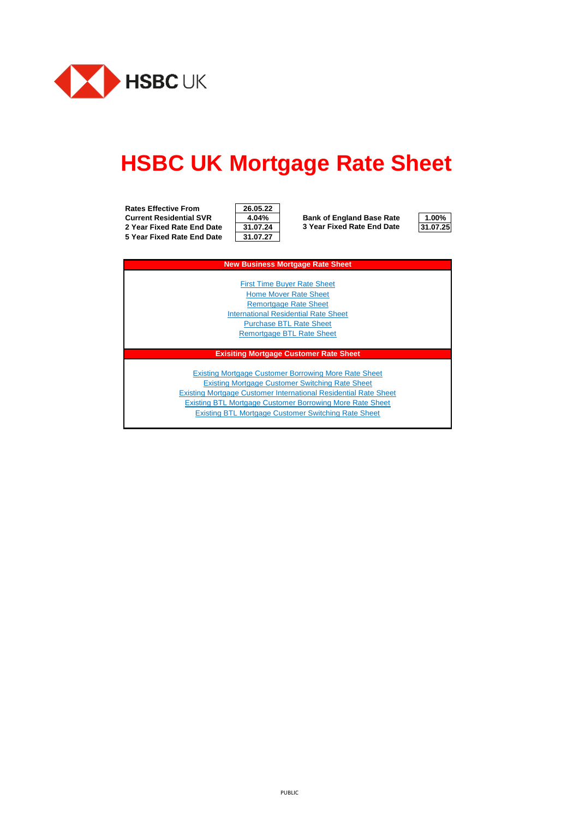

# **HSBC UK Mortgage Rate Sheet**

**Rates Effective From 26.05.22 Current Residential SVR 4.04% Bank of England Base Rate 1.00% 2 Year Fixed Rate End Date 31.07.24 31.07.25 3 Year Fixed Rate End Date 5 Year Fixed Rate End Date** 

| 26.05.22 |  |
|----------|--|
| 4.04%    |  |
| 31.07.24 |  |
| 31.07.27 |  |



| <b>New Business Mortgage Rate Sheet</b>                                |
|------------------------------------------------------------------------|
|                                                                        |
| <b>First Time Buver Rate Sheet</b>                                     |
| <b>Home Mover Rate Sheet</b>                                           |
| <b>Remortgage Rate Sheet</b>                                           |
| <b>International Residential Rate Sheet</b>                            |
| <b>Purchase BTL Rate Sheet</b>                                         |
| <b>Remortgage BTL Rate Sheet</b>                                       |
|                                                                        |
| <b>Exisiting Mortgage Customer Rate Sheet</b>                          |
|                                                                        |
| <b>Existing Mortgage Customer Borrowing More Rate Sheet</b>            |
| <b>Existing Mortgage Customer Switching Rate Sheet</b>                 |
| <b>Existing Mortgage Customer International Residential Rate Sheet</b> |
| <b>Existing BTL Mortgage Customer Borrowing More Rate Sheet</b>        |
|                                                                        |

[Existing BTL Mortgage Customer Switching Rate Sheet](#page-23-0)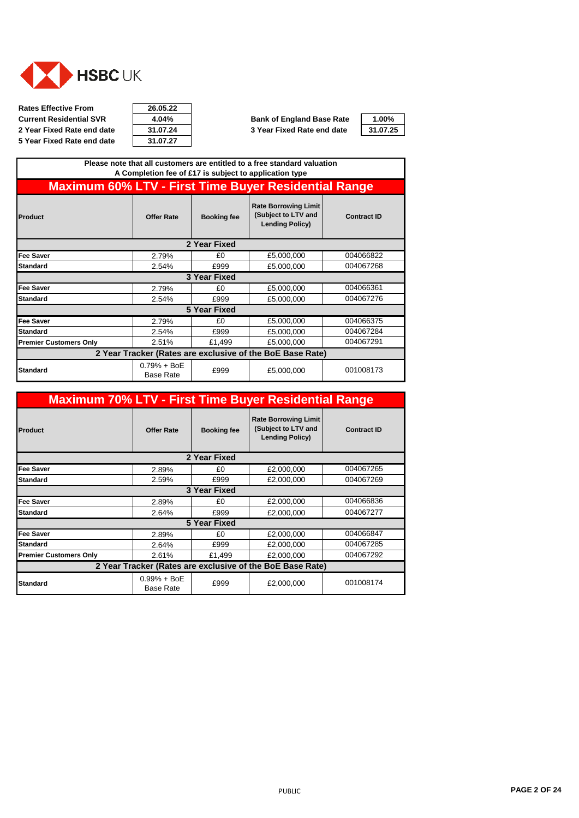<span id="page-1-0"></span>

**Rates Effective From 26.05.22 Current Residential SVR 4.04% Bank of England Base Rate 5 Year Fixed Rate end date** 

| 26.05.22 |  |
|----------|--|
| 4.04%    |  |
| 31.07.24 |  |
| 31.07.27 |  |

| 1.00%  |  |
|--------|--|
| 1.07.2 |  |

|                                                             |                                   |                     | Please note that all customers are entitled to a free standard valuation<br>A Completion fee of £17 is subject to application type |                    |
|-------------------------------------------------------------|-----------------------------------|---------------------|------------------------------------------------------------------------------------------------------------------------------------|--------------------|
| <b>Maximum 60% LTV - First Time Buyer Residential Range</b> |                                   |                     |                                                                                                                                    |                    |
| Product                                                     | <b>Offer Rate</b>                 | <b>Booking fee</b>  | <b>Rate Borrowing Limit</b><br>(Subject to LTV and<br><b>Lending Policy)</b>                                                       | <b>Contract ID</b> |
|                                                             |                                   | 2 Year Fixed        |                                                                                                                                    |                    |
| <b>Fee Saver</b>                                            | 2.79%                             | £0                  | £5,000,000                                                                                                                         | 004066822          |
| <b>Standard</b>                                             | 2.54%                             | £999                | £5,000,000                                                                                                                         | 004067268          |
|                                                             |                                   | 3 Year Fixed        |                                                                                                                                    |                    |
| <b>Fee Saver</b>                                            | 2.79%                             | £0                  | £5,000,000                                                                                                                         | 004066361          |
| <b>Standard</b>                                             | 2.54%                             | £999                | £5,000,000                                                                                                                         | 004067276          |
|                                                             |                                   | <b>5 Year Fixed</b> |                                                                                                                                    |                    |
| <b>Fee Saver</b>                                            | 2.79%                             | £0                  | £5,000,000                                                                                                                         | 004066375          |
| <b>Standard</b>                                             | 2.54%                             | £999                | £5,000,000                                                                                                                         | 004067284          |
| <b>Premier Customers Only</b>                               | 2.51%                             | £1,499              | £5,000,000                                                                                                                         | 004067291          |
|                                                             |                                   |                     | 2 Year Tracker (Rates are exclusive of the BoE Base Rate)                                                                          |                    |
| <b>Standard</b>                                             | $0.79% + BoE$<br><b>Base Rate</b> | £999                | £5,000,000                                                                                                                         | 001008173          |

| <b>Maximum 70% LTV - First Time Buyer Residential Range</b> |                                   |                    |                                                                              |                    |
|-------------------------------------------------------------|-----------------------------------|--------------------|------------------------------------------------------------------------------|--------------------|
| Product                                                     | <b>Offer Rate</b>                 | <b>Booking fee</b> | <b>Rate Borrowing Limit</b><br>(Subject to LTV and<br><b>Lending Policy)</b> | <b>Contract ID</b> |
|                                                             |                                   | 2 Year Fixed       |                                                                              |                    |
| <b>Fee Saver</b>                                            | 2.89%                             | £0                 | £2,000,000                                                                   | 004067265          |
| <b>Standard</b>                                             | 2.59%                             | £999               | £2,000,000                                                                   | 004067269          |
|                                                             |                                   | 3 Year Fixed       |                                                                              |                    |
| <b>Fee Saver</b>                                            | 2.89%                             | £0                 | £2,000,000                                                                   | 004066836          |
| <b>Standard</b>                                             | 2.64%                             | £999               | £2,000,000                                                                   | 004067277          |
|                                                             |                                   | 5 Year Fixed       |                                                                              |                    |
| <b>Fee Saver</b>                                            | 2.89%                             | £0                 | £2,000,000                                                                   | 004066847          |
| <b>Standard</b>                                             | 2.64%                             | £999               | £2,000,000                                                                   | 004067285          |
| <b>Premier Customers Only</b>                               | 2.61%                             | £1,499             | £2,000,000                                                                   | 004067292          |
| 2 Year Tracker (Rates are exclusive of the BoE Base Rate)   |                                   |                    |                                                                              |                    |
| <b>Standard</b>                                             | $0.99% + BoE$<br><b>Base Rate</b> | £999               | £2,000,000                                                                   | 001008174          |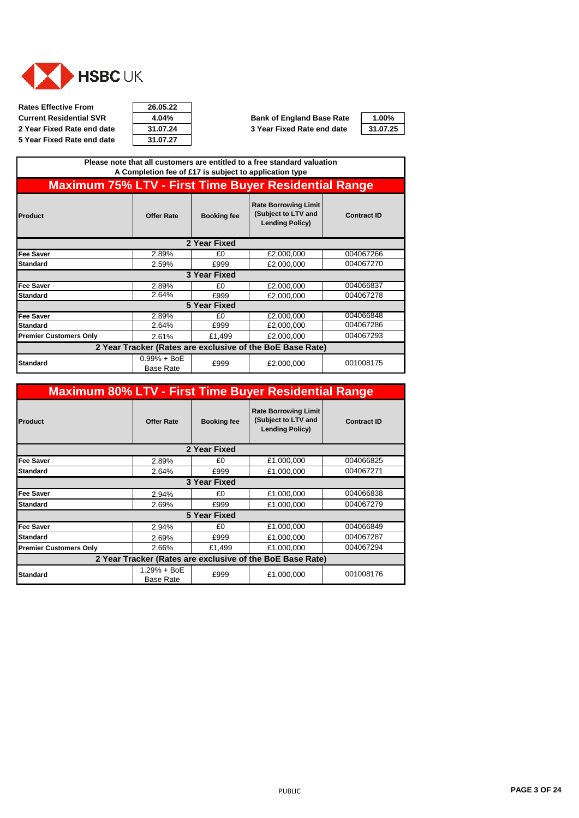

**Rates Effective From 26.05.22 Current Residential SVR 4.04% Bank of England Base Rate 1.00% 5 Year Fixed Rate end date** 

| 26.05.22 |
|----------|
| 4.04%    |
| 31.07.24 |
| 31.07.27 |

|                                                             |                                   |                    | Please note that all customers are entitled to a free standard valuation<br>A Completion fee of £17 is subject to application type |                    |
|-------------------------------------------------------------|-----------------------------------|--------------------|------------------------------------------------------------------------------------------------------------------------------------|--------------------|
| <b>Maximum 75% LTV - First Time Buyer Residential Range</b> |                                   |                    |                                                                                                                                    |                    |
| Product                                                     | <b>Offer Rate</b>                 | <b>Booking fee</b> | <b>Rate Borrowing Limit</b><br>(Subject to LTV and<br><b>Lending Policy)</b>                                                       | <b>Contract ID</b> |
|                                                             |                                   | 2 Year Fixed       |                                                                                                                                    |                    |
| Fee Saver                                                   | 2.89%                             | £0                 | £2,000,000                                                                                                                         | 004067266          |
| <b>Standard</b>                                             | 2.59%                             | £999               | £2,000,000                                                                                                                         | 004067270          |
|                                                             |                                   | 3 Year Fixed       |                                                                                                                                    |                    |
| <b>Fee Saver</b>                                            | 2.89%                             | £0                 | £2,000,000                                                                                                                         | 004066837          |
| <b>Standard</b>                                             | 2.64%                             | £999               | £2,000,000                                                                                                                         | 004067278          |
|                                                             |                                   | 5 Year Fixed       |                                                                                                                                    |                    |
| <b>Fee Saver</b>                                            | 2.89%                             | £0                 | £2,000,000                                                                                                                         | 004066848          |
| <b>Standard</b>                                             | 2.64%                             | £999               | £2,000,000                                                                                                                         | 004067286          |
| <b>Premier Customers Only</b>                               | 2.61%                             | £1,499             | £2,000,000                                                                                                                         | 004067293          |
| 2 Year Tracker (Rates are exclusive of the BoE Base Rate)   |                                   |                    |                                                                                                                                    |                    |
| <b>Standard</b>                                             | $0.99% + BoE$<br><b>Base Rate</b> | £999               | £2,000,000                                                                                                                         | 001008175          |

| <b>Maximum 80% LTV - First Time Buyer Residential Range</b> |                                 |                    |                                                                              |                    |
|-------------------------------------------------------------|---------------------------------|--------------------|------------------------------------------------------------------------------|--------------------|
| Product                                                     | <b>Offer Rate</b>               | <b>Booking fee</b> | <b>Rate Borrowing Limit</b><br>(Subject to LTV and<br><b>Lending Policy)</b> | <b>Contract ID</b> |
|                                                             |                                 | 2 Year Fixed       |                                                                              |                    |
| <b>Fee Saver</b>                                            | 2.89%                           | £0                 | £1,000,000                                                                   | 004066825          |
| <b>Standard</b>                                             | 2.64%                           | £999               | £1,000,000                                                                   | 004067271          |
|                                                             |                                 | 3 Year Fixed       |                                                                              |                    |
| <b>Fee Saver</b>                                            | 2.94%                           | £0                 | £1,000,000                                                                   | 004066838          |
| <b>Standard</b>                                             | 2.69%                           | £999               | £1,000,000                                                                   | 004067279          |
|                                                             |                                 | 5 Year Fixed       |                                                                              |                    |
| Fee Saver                                                   | 2.94%                           | £0                 | £1,000,000                                                                   | 004066849          |
| <b>Standard</b>                                             | 2.69%                           | £999               | £1,000,000                                                                   | 004067287          |
| <b>Premier Customers Only</b>                               | 2.66%                           | £1,499             | £1,000,000                                                                   | 004067294          |
| 2 Year Tracker (Rates are exclusive of the BoE Base Rate)   |                                 |                    |                                                                              |                    |
| <b>Standard</b>                                             | 1.29% + BoE<br><b>Base Rate</b> | £999               | £1,000,000                                                                   | 001008176          |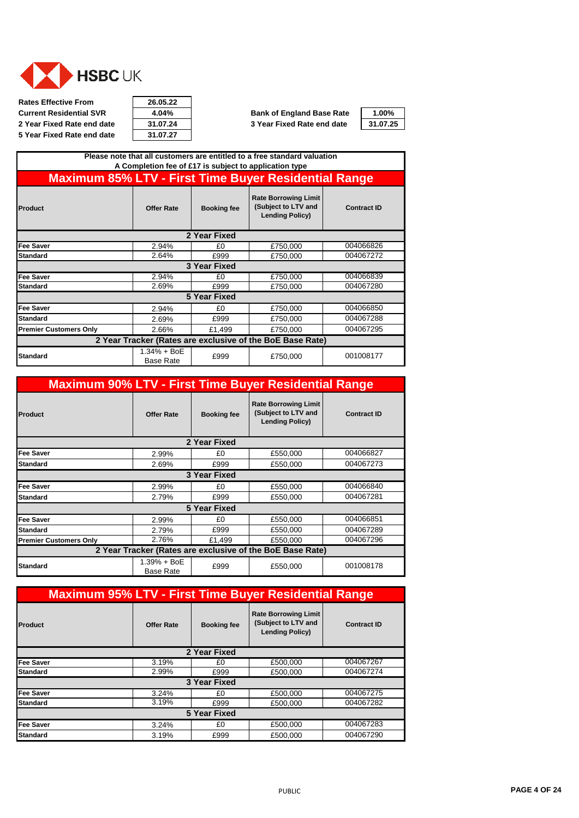

**Rates Effective From 26.05.22 Current Residential SVR**  $\begin{array}{|c|c|c|c|}\n\hline\n\text{4.04\%} & \text{Bank of England Base Rate} \\
\hline\n\text{2 Year Fixed Rate end date} & \text{31.07.24} \\
\hline\n\end{array}$  3 Year Fixed Rate end date **5 Year Fixed Rate end date** 

| 26.05.22 |
|----------|
| 4.04%    |
| 31.07.24 |
| 31.07.27 |

| 1.00%    |  |
|----------|--|
| 31.07.25 |  |

| Please note that all customers are entitled to a free standard valuation<br>A Completion fee of £17 is subject to application type |                                   |                    |                                                                              |                    |  |
|------------------------------------------------------------------------------------------------------------------------------------|-----------------------------------|--------------------|------------------------------------------------------------------------------|--------------------|--|
| <b>Maximum 85% LTV - First Time Buyer Residential Range</b>                                                                        |                                   |                    |                                                                              |                    |  |
| Product                                                                                                                            | <b>Offer Rate</b>                 | <b>Booking fee</b> | <b>Rate Borrowing Limit</b><br>(Subject to LTV and<br><b>Lending Policy)</b> | <b>Contract ID</b> |  |
|                                                                                                                                    |                                   | 2 Year Fixed       |                                                                              |                    |  |
| <b>Fee Saver</b>                                                                                                                   | 2.94%                             | £0                 | £750,000                                                                     | 004066826          |  |
| <b>Standard</b>                                                                                                                    | 2.64%                             | £999               | £750,000                                                                     | 004067272          |  |
|                                                                                                                                    |                                   | 3 Year Fixed       |                                                                              |                    |  |
| <b>Fee Saver</b>                                                                                                                   | 2.94%                             | £0                 | £750,000                                                                     | 004066839          |  |
| <b>Standard</b>                                                                                                                    | 2.69%                             | £999               | £750,000                                                                     | 004067280          |  |
| <b>5 Year Fixed</b>                                                                                                                |                                   |                    |                                                                              |                    |  |
| <b>Fee Saver</b>                                                                                                                   | 2.94%                             | £0                 | £750,000                                                                     | 004066850          |  |
| <b>Standard</b>                                                                                                                    | 2.69%                             | £999               | £750,000                                                                     | 004067288          |  |
| <b>Premier Customers Only</b>                                                                                                      | 2.66%                             | £1,499             | £750,000                                                                     | 004067295          |  |
| 2 Year Tracker (Rates are exclusive of the BoE Base Rate)                                                                          |                                   |                    |                                                                              |                    |  |
| <b>Standard</b>                                                                                                                    | $1.34% + BOE$<br><b>Base Rate</b> | £999               | £750,000                                                                     | 001008177          |  |

| <b>Maximum 90% LTV - First Time Buyer Residential Range</b> |                                   |                     |                                                                              |                    |  |  |
|-------------------------------------------------------------|-----------------------------------|---------------------|------------------------------------------------------------------------------|--------------------|--|--|
| Product                                                     | <b>Offer Rate</b>                 | <b>Booking fee</b>  | <b>Rate Borrowing Limit</b><br>(Subject to LTV and<br><b>Lending Policy)</b> | <b>Contract ID</b> |  |  |
|                                                             |                                   | 2 Year Fixed        |                                                                              |                    |  |  |
| Fee Saver                                                   | 2.99%                             | £0                  | £550,000                                                                     | 004066827          |  |  |
| <b>Standard</b>                                             | 2.69%                             | £999                | £550.000                                                                     | 004067273          |  |  |
|                                                             | 3 Year Fixed                      |                     |                                                                              |                    |  |  |
| <b>Fee Saver</b>                                            | 2.99%                             | £0                  | £550,000                                                                     | 004066840          |  |  |
| <b>Standard</b>                                             | 2.79%                             | £999                | £550,000                                                                     | 004067281          |  |  |
|                                                             |                                   | <b>5 Year Fixed</b> |                                                                              |                    |  |  |
| <b>Fee Saver</b>                                            | 2.99%                             | £0                  | £550,000                                                                     | 004066851          |  |  |
| <b>Standard</b>                                             | 2.79%                             | £999                | £550,000                                                                     | 004067289          |  |  |
| <b>Premier Customers Only</b>                               | 2.76%                             | £1,499              | £550,000                                                                     | 004067296          |  |  |
| 2 Year Tracker (Rates are exclusive of the BoE Base Rate)   |                                   |                     |                                                                              |                    |  |  |
| <b>Standard</b>                                             | $1.39% + BoE$<br><b>Base Rate</b> | £999                | £550,000                                                                     | 001008178          |  |  |

| <b>Maximum 95% LTV - First Time Buyer Residential Range</b> |                   |                    |                                                                              |                    |  |
|-------------------------------------------------------------|-------------------|--------------------|------------------------------------------------------------------------------|--------------------|--|
| Product                                                     | <b>Offer Rate</b> | <b>Booking fee</b> | <b>Rate Borrowing Limit</b><br>(Subject to LTV and<br><b>Lending Policy)</b> | <b>Contract ID</b> |  |
| 2 Year Fixed                                                |                   |                    |                                                                              |                    |  |
| <b>Fee Saver</b>                                            | 3.19%             | £0                 | £500,000                                                                     | 004067267          |  |
| <b>Standard</b>                                             | 2.99%             | £999               | £500.000                                                                     | 004067274          |  |
| 3 Year Fixed                                                |                   |                    |                                                                              |                    |  |
| <b>Fee Saver</b>                                            | 3.24%             | £0                 | £500,000                                                                     | 004067275          |  |
| <b>Standard</b>                                             | 3.19%             | £999               | £500.000                                                                     | 004067282          |  |
| 5 Year Fixed                                                |                   |                    |                                                                              |                    |  |
| <b>Fee Saver</b>                                            | 3.24%             | £0                 | £500,000                                                                     | 004067283          |  |
| <b>Standard</b>                                             | 3.19%             | £999               | £500,000                                                                     | 004067290          |  |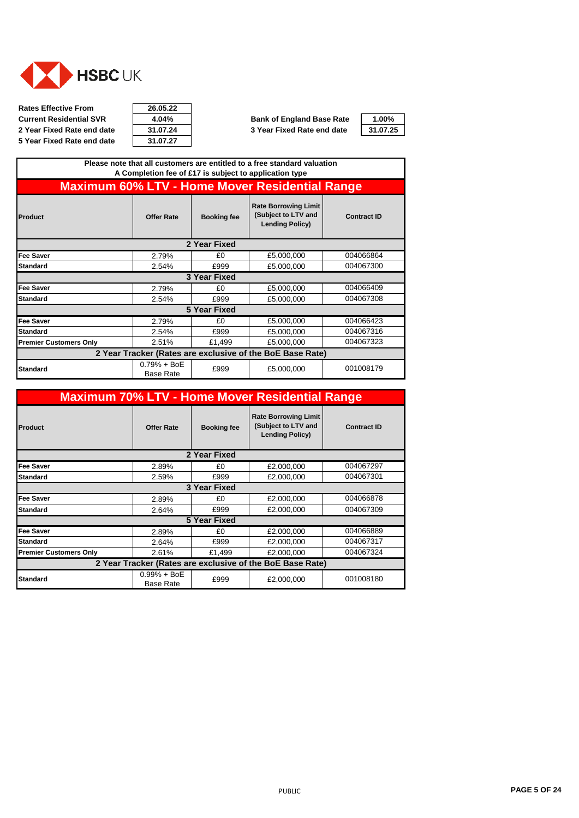<span id="page-4-0"></span>

**Rates Effective From 26.05.22 Current Residential SVR**  $\overline{4.04\%}$  **Bank of England Base Rate**  $\overline{4.00\%}$ <br> **2 Year Fixed Rate end date**  $\overline{31.07.24}$  **3 Year Fixed Rate end date**  $\overline{31.07.25}$ **2 Year Fixed Rate end date 31.07.24 3 Year Fixed Rate end date 31.07.25 5 Year Fixed Rate end date** 

| 26.05.22 |  |
|----------|--|
| 4.04%    |  |
| 31.07.24 |  |
| 31.07.27 |  |

| Please note that all customers are entitled to a free standard valuation<br>A Completion fee of £17 is subject to application type |                                   |                    |                                                                              |                    |  |
|------------------------------------------------------------------------------------------------------------------------------------|-----------------------------------|--------------------|------------------------------------------------------------------------------|--------------------|--|
|                                                                                                                                    |                                   |                    | <b>Maximum 60% LTV - Home Mover Residential Range</b>                        |                    |  |
| Product                                                                                                                            | <b>Offer Rate</b>                 | <b>Booking fee</b> | <b>Rate Borrowing Limit</b><br>(Subject to LTV and<br><b>Lending Policy)</b> | <b>Contract ID</b> |  |
|                                                                                                                                    |                                   | 2 Year Fixed       |                                                                              |                    |  |
| <b>Fee Saver</b>                                                                                                                   | 2.79%                             | £0                 | £5,000,000                                                                   | 004066864          |  |
| <b>Standard</b>                                                                                                                    | 2.54%                             | £999               | £5,000,000                                                                   | 004067300          |  |
|                                                                                                                                    |                                   | 3 Year Fixed       |                                                                              |                    |  |
| <b>Fee Saver</b>                                                                                                                   | 2.79%                             | £0                 | £5,000,000                                                                   | 004066409          |  |
| <b>Standard</b>                                                                                                                    | 2.54%                             | £999               | £5,000,000                                                                   | 004067308          |  |
|                                                                                                                                    |                                   | 5 Year Fixed       |                                                                              |                    |  |
| <b>Fee Saver</b>                                                                                                                   | 2.79%                             | £0                 | £5,000,000                                                                   | 004066423          |  |
| <b>Standard</b>                                                                                                                    | 2.54%                             | £999               | £5,000,000                                                                   | 004067316          |  |
| <b>Premier Customers Only</b>                                                                                                      | 2.51%                             | £1,499             | £5,000,000                                                                   | 004067323          |  |
| 2 Year Tracker (Rates are exclusive of the BoE Base Rate)                                                                          |                                   |                    |                                                                              |                    |  |
| <b>Standard</b>                                                                                                                    | $0.79% + BoE$<br><b>Base Rate</b> | £999               | £5,000,000                                                                   | 001008179          |  |

| <b>Maximum 70% LTV - Home Mover Residential Range</b>     |                                   |                     |                                                                              |                    |
|-----------------------------------------------------------|-----------------------------------|---------------------|------------------------------------------------------------------------------|--------------------|
| Product                                                   | <b>Offer Rate</b>                 | <b>Booking fee</b>  | <b>Rate Borrowing Limit</b><br>(Subject to LTV and<br><b>Lending Policy)</b> | <b>Contract ID</b> |
|                                                           |                                   | 2 Year Fixed        |                                                                              |                    |
| <b>Fee Saver</b>                                          | 2.89%                             | £0                  | £2,000,000                                                                   | 004067297          |
| <b>Standard</b>                                           | 2.59%                             | £999                | £2,000,000                                                                   | 004067301          |
|                                                           |                                   | 3 Year Fixed        |                                                                              |                    |
| <b>Fee Saver</b>                                          | 2.89%                             | £0                  | £2,000,000                                                                   | 004066878          |
| <b>Standard</b>                                           | 2.64%                             | £999                | £2,000,000                                                                   | 004067309          |
|                                                           |                                   | <b>5 Year Fixed</b> |                                                                              |                    |
| <b>Fee Saver</b>                                          | 2.89%                             | £0                  | £2,000,000                                                                   | 004066889          |
| <b>Standard</b>                                           | 2.64%                             | £999                | £2,000,000                                                                   | 004067317          |
| <b>Premier Customers Only</b>                             | 2.61%                             | £1,499              | £2,000,000                                                                   | 004067324          |
| 2 Year Tracker (Rates are exclusive of the BoE Base Rate) |                                   |                     |                                                                              |                    |
| <b>Standard</b>                                           | $0.99% + BoE$<br><b>Base Rate</b> | £999                | £2,000,000                                                                   | 001008180          |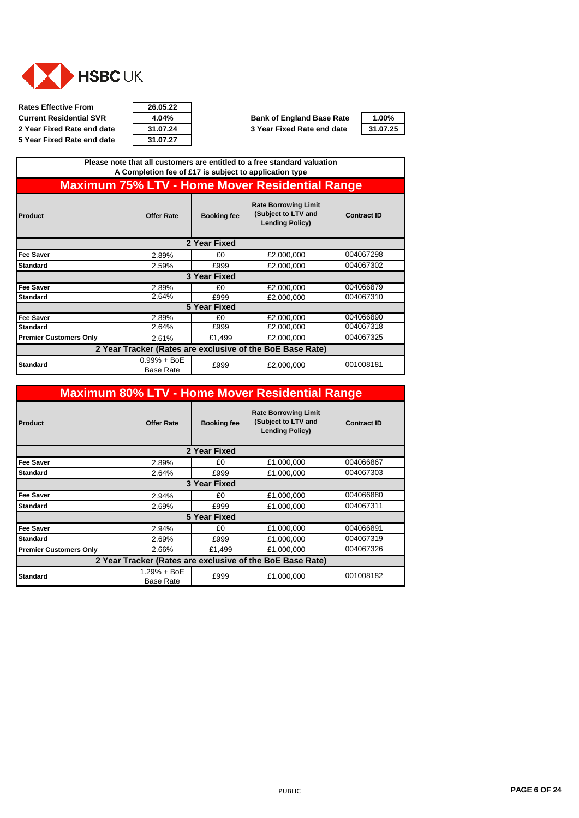

**Rates Effective From 26.05.22 Current Residential SVR 4.04% Bank of England Base Rate 1.00% 2 Year Fixed Rate end date 31.07.24 3 Year Fixed Rate end date 31.07.25 5 Year Fixed Rate end date** 

| 26.05.22 |
|----------|
| 4.04%    |
| 31.07.24 |
| 31.07.27 |

| Please note that all customers are entitled to a free standard valuation<br>A Completion fee of £17 is subject to application type |                                   |                     |                                                                              |                    |  |  |
|------------------------------------------------------------------------------------------------------------------------------------|-----------------------------------|---------------------|------------------------------------------------------------------------------|--------------------|--|--|
|                                                                                                                                    |                                   |                     | <b>Maximum 75% LTV - Home Mover Residential Range</b>                        |                    |  |  |
| Product                                                                                                                            | <b>Offer Rate</b>                 | <b>Booking fee</b>  | <b>Rate Borrowing Limit</b><br>(Subject to LTV and<br><b>Lending Policy)</b> | <b>Contract ID</b> |  |  |
|                                                                                                                                    | 2 Year Fixed                      |                     |                                                                              |                    |  |  |
| <b>Fee Saver</b>                                                                                                                   | 2.89%                             | £0                  | £2,000,000                                                                   | 004067298          |  |  |
| <b>Standard</b>                                                                                                                    | 2.59%                             | £999                | £2,000,000                                                                   | 004067302          |  |  |
|                                                                                                                                    |                                   | 3 Year Fixed        |                                                                              |                    |  |  |
| <b>Fee Saver</b>                                                                                                                   | 2.89%                             | £0                  | £2,000,000                                                                   | 004066879          |  |  |
| <b>Standard</b>                                                                                                                    | 2.64%                             | £999                | £2,000,000                                                                   | 004067310          |  |  |
|                                                                                                                                    |                                   | <b>5 Year Fixed</b> |                                                                              |                    |  |  |
| <b>Fee Saver</b>                                                                                                                   | 2.89%                             | £0                  | £2,000,000                                                                   | 004066890          |  |  |
| <b>Standard</b>                                                                                                                    | 2.64%                             | £999                | £2,000,000                                                                   | 004067318          |  |  |
| <b>Premier Customers Only</b>                                                                                                      | 2.61%                             | £1,499              | £2,000,000                                                                   | 004067325          |  |  |
| 2 Year Tracker (Rates are exclusive of the BoE Base Rate)                                                                          |                                   |                     |                                                                              |                    |  |  |
| <b>Standard</b>                                                                                                                    | $0.99% + BoE$<br><b>Base Rate</b> | £999                | £2,000,000                                                                   | 001008181          |  |  |

| <b>Maximum 80% LTV - Home Mover Residential Range</b>     |                                 |                    |                                                                              |                    |  |
|-----------------------------------------------------------|---------------------------------|--------------------|------------------------------------------------------------------------------|--------------------|--|
| Product                                                   | <b>Offer Rate</b>               | <b>Booking fee</b> | <b>Rate Borrowing Limit</b><br>(Subject to LTV and<br><b>Lending Policy)</b> | <b>Contract ID</b> |  |
|                                                           |                                 | 2 Year Fixed       |                                                                              |                    |  |
| Fee Saver                                                 | 2.89%                           | £0                 | £1,000,000                                                                   | 004066867          |  |
| <b>Standard</b>                                           | 2.64%                           | £999               | £1,000,000                                                                   | 004067303          |  |
| 3 Year Fixed                                              |                                 |                    |                                                                              |                    |  |
| <b>Fee Saver</b>                                          | 2.94%                           | £0                 | £1,000,000                                                                   | 004066880          |  |
| <b>Standard</b>                                           | 2.69%                           | £999               | £1,000,000                                                                   | 004067311          |  |
|                                                           |                                 | 5 Year Fixed       |                                                                              |                    |  |
| <b>Fee Saver</b>                                          | 2.94%                           | £0                 | £1,000,000                                                                   | 004066891          |  |
| <b>Standard</b>                                           | 2.69%                           | £999               | £1,000,000                                                                   | 004067319          |  |
| <b>Premier Customers Only</b>                             | 2.66%                           | £1,499             | £1,000,000                                                                   | 004067326          |  |
| 2 Year Tracker (Rates are exclusive of the BoE Base Rate) |                                 |                    |                                                                              |                    |  |
| <b>Standard</b>                                           | 1.29% + BoE<br><b>Base Rate</b> | £999               | £1,000,000                                                                   | 001008182          |  |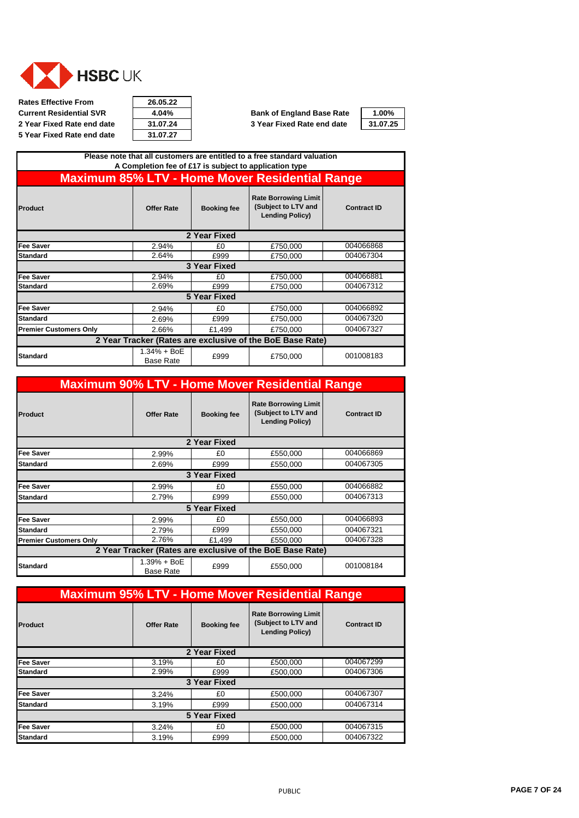

**Rates Effective From 26.05.22 Current Residential SVR**  $\begin{array}{|c|c|c|c|}\n\hline\n\text{4.04\%} & \text{Bank of England Base Rate} \\
\hline\n\text{2 Year Fixed Rate end date} & \text{31.07.24} \\
\hline\n\end{array}$  3 Year Fixed Rate end date **5 Year Fixed Rate end date** 

| 26.05.22 |  |
|----------|--|
| 4.04%    |  |
| 31.07.24 |  |
| 31.07.27 |  |

| 1.00%   |
|---------|
| 1.07.25 |

| Please note that all customers are entitled to a free standard valuation<br>A Completion fee of £17 is subject to application type |                                   |                    |                                                                              |                    |  |
|------------------------------------------------------------------------------------------------------------------------------------|-----------------------------------|--------------------|------------------------------------------------------------------------------|--------------------|--|
| <b>Maximum 85% LTV - Home Mover Residential Range</b>                                                                              |                                   |                    |                                                                              |                    |  |
| Product                                                                                                                            | <b>Offer Rate</b>                 | <b>Booking fee</b> | <b>Rate Borrowing Limit</b><br>(Subject to LTV and<br><b>Lending Policy)</b> | <b>Contract ID</b> |  |
|                                                                                                                                    |                                   | 2 Year Fixed       |                                                                              |                    |  |
| Fee Saver                                                                                                                          | 2.94%                             | £0                 | £750,000                                                                     | 004066868          |  |
| <b>Standard</b>                                                                                                                    | 2.64%                             | £999               | £750,000                                                                     | 004067304          |  |
|                                                                                                                                    |                                   | 3 Year Fixed       |                                                                              |                    |  |
| <b>Fee Saver</b>                                                                                                                   | 2.94%                             | £0                 | £750,000                                                                     | 004066881          |  |
| <b>Standard</b>                                                                                                                    | 2.69%                             | £999               | £750,000                                                                     | 004067312          |  |
|                                                                                                                                    |                                   | 5 Year Fixed       |                                                                              |                    |  |
| Fee Saver                                                                                                                          | 2.94%                             | £0                 | £750,000                                                                     | 004066892          |  |
| <b>Standard</b>                                                                                                                    | 2.69%                             | £999               | £750,000                                                                     | 004067320          |  |
| <b>Premier Customers Only</b>                                                                                                      | 2.66%                             | £1,499             | £750,000                                                                     | 004067327          |  |
| 2 Year Tracker (Rates are exclusive of the BoE Base Rate)                                                                          |                                   |                    |                                                                              |                    |  |
| <b>Standard</b>                                                                                                                    | $1.34% + BoE$<br><b>Base Rate</b> | £999               | £750,000                                                                     | 001008183          |  |

| <b>Maximum 90% LTV - Home Mover Residential Range</b>     |                                 |                    |                                                                              |                    |  |  |
|-----------------------------------------------------------|---------------------------------|--------------------|------------------------------------------------------------------------------|--------------------|--|--|
| <b>Product</b>                                            | <b>Offer Rate</b>               | <b>Booking fee</b> | <b>Rate Borrowing Limit</b><br>(Subject to LTV and<br><b>Lending Policy)</b> | <b>Contract ID</b> |  |  |
|                                                           |                                 | 2 Year Fixed       |                                                                              |                    |  |  |
| <b>Fee Saver</b>                                          | 2.99%                           | £0                 | £550,000                                                                     | 004066869          |  |  |
| <b>Standard</b>                                           | 2.69%                           | £999               | £550.000                                                                     | 004067305          |  |  |
|                                                           | 3 Year Fixed                    |                    |                                                                              |                    |  |  |
| <b>Fee Saver</b>                                          | 2.99%                           | £0                 | £550,000                                                                     | 004066882          |  |  |
| <b>Standard</b>                                           | 2.79%                           | £999               | £550.000                                                                     | 004067313          |  |  |
|                                                           |                                 | 5 Year Fixed       |                                                                              |                    |  |  |
| <b>Fee Saver</b>                                          | 2.99%                           | £0                 | £550,000                                                                     | 004066893          |  |  |
| <b>Standard</b>                                           | 2.79%                           | £999               | £550,000                                                                     | 004067321          |  |  |
| <b>Premier Customers Only</b>                             | 2.76%                           | £1,499             | £550,000                                                                     | 004067328          |  |  |
| 2 Year Tracker (Rates are exclusive of the BoE Base Rate) |                                 |                    |                                                                              |                    |  |  |
| <b>Standard</b>                                           | 1.39% + BoE<br><b>Base Rate</b> | £999               | £550,000                                                                     | 001008184          |  |  |

| <b>Maximum 95% LTV - Home Mover Residential Range</b> |                   |                    |                                                                              |                    |
|-------------------------------------------------------|-------------------|--------------------|------------------------------------------------------------------------------|--------------------|
| Product                                               | <b>Offer Rate</b> | <b>Booking fee</b> | <b>Rate Borrowing Limit</b><br>(Subject to LTV and<br><b>Lending Policy)</b> | <b>Contract ID</b> |
|                                                       |                   | 2 Year Fixed       |                                                                              |                    |
| <b>Fee Saver</b>                                      | 3.19%             | £Ο                 | £500,000                                                                     | 004067299          |
| <b>Standard</b>                                       | 2.99%             | £999               | £500,000                                                                     | 004067306          |
|                                                       |                   | 3 Year Fixed       |                                                                              |                    |
| <b>Fee Saver</b>                                      | 3.24%             | £0                 | £500,000                                                                     | 004067307          |
| <b>Standard</b>                                       | 3.19%             | £999               | £500,000                                                                     | 004067314          |
|                                                       |                   | 5 Year Fixed       |                                                                              |                    |
| <b>Fee Saver</b>                                      | 3.24%             | £0                 | £500,000                                                                     | 004067315          |
| <b>Standard</b>                                       | 3.19%             | £999               | £500,000                                                                     | 004067322          |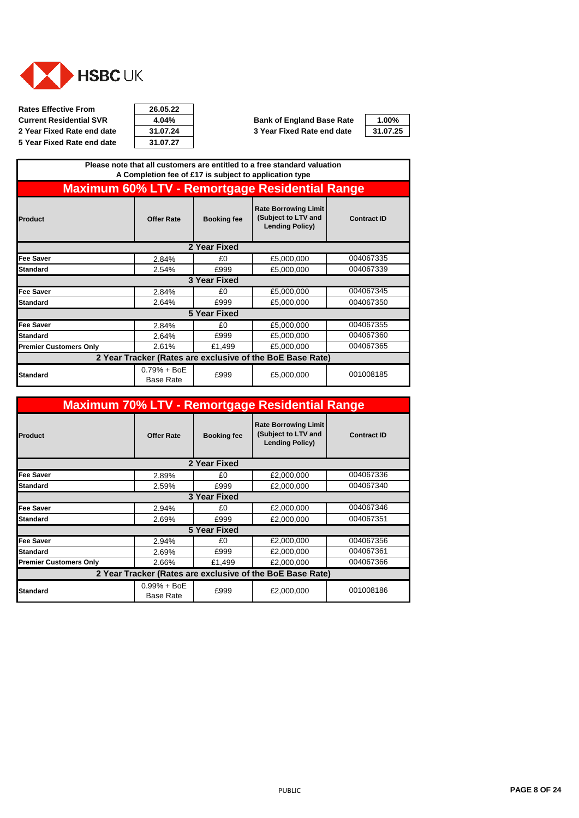<span id="page-7-0"></span>

| 26.05.22 |  |
|----------|--|
| 4.04%    |  |
| 31.07.24 |  |
| 31.07.27 |  |

**Current Residential SVR 4.04% Bank of England Base Rate 1.00% 2 Year Fixed Rate end date 31.07.24 3 Year Fixed Rate end date 31.07.25**

|                                                           |                                   |                     | Please note that all customers are entitled to a free standard valuation<br>A Completion fee of £17 is subject to application type |                    |
|-----------------------------------------------------------|-----------------------------------|---------------------|------------------------------------------------------------------------------------------------------------------------------------|--------------------|
|                                                           |                                   |                     | <b>Maximum 60% LTV - Remortgage Residential Range</b>                                                                              |                    |
| Product                                                   | <b>Offer Rate</b>                 | <b>Booking fee</b>  | <b>Rate Borrowing Limit</b><br>(Subject to LTV and<br><b>Lending Policy)</b>                                                       | <b>Contract ID</b> |
| 2 Year Fixed                                              |                                   |                     |                                                                                                                                    |                    |
| <b>Fee Saver</b>                                          | 2.84%                             | £0                  | £5,000,000                                                                                                                         | 004067335          |
| <b>Standard</b>                                           | 2.54%                             | £999                | £5,000,000                                                                                                                         | 004067339          |
|                                                           |                                   | <b>3 Year Fixed</b> |                                                                                                                                    |                    |
| <b>Fee Saver</b>                                          | 2.84%                             | £0                  | £5,000,000                                                                                                                         | 004067345          |
| <b>Standard</b>                                           | 2.64%                             | £999                | £5,000,000                                                                                                                         | 004067350          |
|                                                           |                                   | 5 Year Fixed        |                                                                                                                                    |                    |
| <b>Fee Saver</b>                                          | 2.84%                             | £0                  | £5,000,000                                                                                                                         | 004067355          |
| <b>Standard</b>                                           | 2.64%                             | £999                | £5,000,000                                                                                                                         | 004067360          |
| <b>Premier Customers Only</b>                             | 2.61%                             | £1,499              | £5,000,000                                                                                                                         | 004067365          |
| 2 Year Tracker (Rates are exclusive of the BoE Base Rate) |                                   |                     |                                                                                                                                    |                    |
| <b>Standard</b>                                           | $0.79% + BoE$<br><b>Base Rate</b> | £999                | £5,000,000                                                                                                                         | 001008185          |

| <b>Maximum 70% LTV - Remortgage Residential Range</b>     |                                   |                     |                                                                              |                    |
|-----------------------------------------------------------|-----------------------------------|---------------------|------------------------------------------------------------------------------|--------------------|
| Product                                                   | <b>Offer Rate</b>                 | <b>Booking fee</b>  | <b>Rate Borrowing Limit</b><br>(Subject to LTV and<br><b>Lending Policy)</b> | <b>Contract ID</b> |
| 2 Year Fixed                                              |                                   |                     |                                                                              |                    |
| Fee Saver                                                 | 2.89%                             | £0                  | £2,000,000                                                                   | 004067336          |
| <b>Standard</b>                                           | 2.59%                             | £999                | £2,000,000                                                                   | 004067340          |
| 3 Year Fixed                                              |                                   |                     |                                                                              |                    |
| Fee Saver                                                 | 2.94%                             | £0                  | £2,000,000                                                                   | 004067346          |
| <b>Standard</b>                                           | 2.69%                             | £999                | £2,000,000                                                                   | 004067351          |
|                                                           |                                   | <b>5 Year Fixed</b> |                                                                              |                    |
| Fee Saver                                                 | 2.94%                             | £0                  | £2,000,000                                                                   | 004067356          |
| <b>Standard</b>                                           | 2.69%                             | £999                | £2,000,000                                                                   | 004067361          |
| <b>Premier Customers Only</b>                             | 2.66%                             | £1,499              | £2,000,000                                                                   | 004067366          |
| 2 Year Tracker (Rates are exclusive of the BoE Base Rate) |                                   |                     |                                                                              |                    |
| <b>Standard</b>                                           | $0.99% + BoE$<br><b>Base Rate</b> | £999                | £2,000,000                                                                   | 001008186          |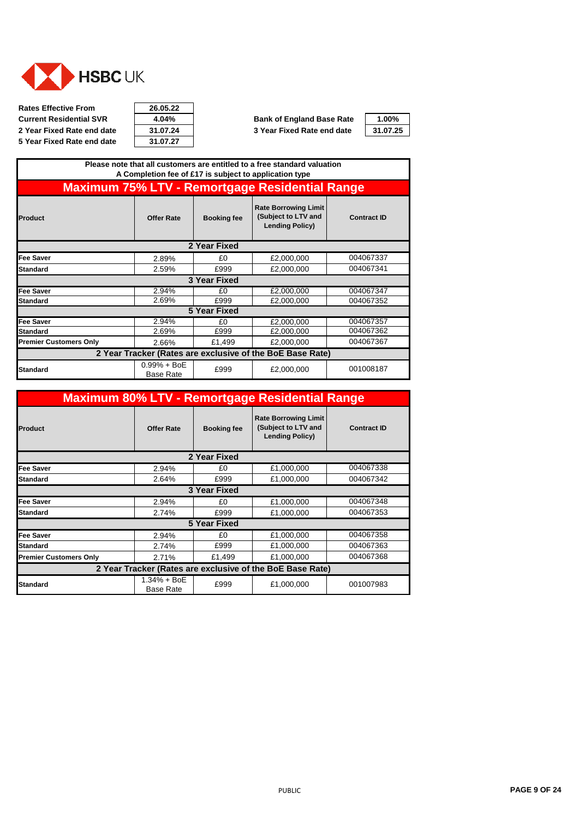

**Rates Effective From 26.05.22 Current Residential SVR 4.04% Bank of England Base Rate 1.00% 5 Year Fixed Rate end date** 

| 26.05.22 |  |
|----------|--|
| 4.04%    |  |
| 31.07.24 |  |
| 31.07.27 |  |

|                               |                                   |                     | Please note that all customers are entitled to a free standard valuation<br>A Completion fee of £17 is subject to application type |                    |
|-------------------------------|-----------------------------------|---------------------|------------------------------------------------------------------------------------------------------------------------------------|--------------------|
|                               |                                   |                     | <b>Maximum 75% LTV - Remortgage Residential Range</b>                                                                              |                    |
| Product                       | <b>Offer Rate</b>                 | <b>Booking fee</b>  | <b>Rate Borrowing Limit</b><br>(Subject to LTV and<br><b>Lending Policy)</b>                                                       | <b>Contract ID</b> |
|                               |                                   | 2 Year Fixed        |                                                                                                                                    |                    |
| <b>Fee Saver</b>              | 2.89%                             | £0                  | £2,000,000                                                                                                                         | 004067337          |
| <b>Standard</b>               | 2.59%                             | £999                | £2,000,000                                                                                                                         | 004067341          |
|                               |                                   | 3 Year Fixed        |                                                                                                                                    |                    |
| <b>Fee Saver</b>              | 2.94%                             | £0                  | £2,000,000                                                                                                                         | 004067347          |
| <b>Standard</b>               | 2.69%                             | £999                | £2,000,000                                                                                                                         | 004067352          |
|                               |                                   | <b>5 Year Fixed</b> |                                                                                                                                    |                    |
| <b>Fee Saver</b>              | 2.94%                             | £0                  | £2,000,000                                                                                                                         | 004067357          |
| <b>Standard</b>               | 2.69%                             | £999                | £2,000,000                                                                                                                         | 004067362          |
| <b>Premier Customers Only</b> | 2.66%                             | £1,499              | £2,000,000                                                                                                                         | 004067367          |
|                               |                                   |                     | 2 Year Tracker (Rates are exclusive of the BoE Base Rate)                                                                          |                    |
| Standard                      | $0.99% + BoE$<br><b>Base Rate</b> | £999                | £2,000,000                                                                                                                         | 001008187          |

| <b>Maximum 80% LTV - Remortgage Residential Range</b>     |                                   |                    |                                                                              |                    |
|-----------------------------------------------------------|-----------------------------------|--------------------|------------------------------------------------------------------------------|--------------------|
| <b>Product</b>                                            | <b>Offer Rate</b>                 | <b>Booking fee</b> | <b>Rate Borrowing Limit</b><br>(Subject to LTV and<br><b>Lending Policy)</b> | <b>Contract ID</b> |
| 2 Year Fixed                                              |                                   |                    |                                                                              |                    |
| <b>Fee Saver</b>                                          | 2.94%                             | £0                 | £1,000,000                                                                   | 004067338          |
| <b>Standard</b>                                           | 2.64%                             | £999               | £1,000,000                                                                   | 004067342          |
|                                                           |                                   | 3 Year Fixed       |                                                                              |                    |
| <b>Fee Saver</b>                                          | 2.94%                             | £0                 | £1,000,000                                                                   | 004067348          |
| <b>Standard</b>                                           | 2.74%                             | £999               | £1,000,000                                                                   | 004067353          |
|                                                           |                                   | 5 Year Fixed       |                                                                              |                    |
| <b>Fee Saver</b>                                          | 2.94%                             | £0                 | £1,000,000                                                                   | 004067358          |
| Standard                                                  | 2.74%                             | £999               | £1,000,000                                                                   | 004067363          |
| <b>Premier Customers Only</b>                             | 2.71%                             | £1,499             | £1,000,000                                                                   | 004067368          |
| 2 Year Tracker (Rates are exclusive of the BoE Base Rate) |                                   |                    |                                                                              |                    |
| <b>Standard</b>                                           | $1.34% + BOE$<br><b>Base Rate</b> | £999               | £1,000,000                                                                   | 001007983          |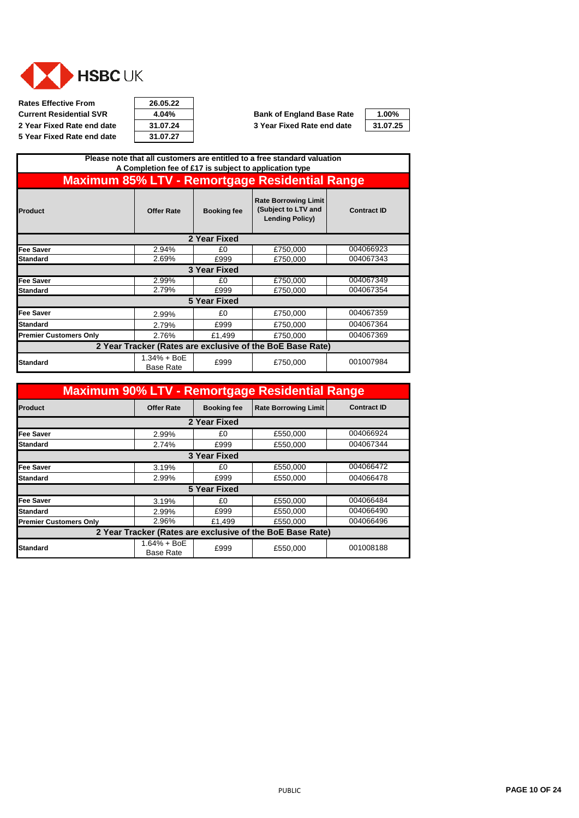

**Rates Effective From 26.05.22 Current Residential SVR**  $\begin{array}{|c|c|c|c|}\n\hline\n\text{4.04\%} & \text{Bank of England Base Rate} \\
\hline\n\text{2 Year Fixed Rate end date} & \text{31.07.24} & \text{3 Year Fixed Rate end date}\n\end{array}$ **5 Year Fixed Rate end date 31.07.27**



| 1.00%    |  |
|----------|--|
| 31.07.25 |  |

|                               |                                   |                     | Please note that all customers are entitled to a free standard valuation     |                    |
|-------------------------------|-----------------------------------|---------------------|------------------------------------------------------------------------------|--------------------|
|                               |                                   |                     | A Completion fee of £17 is subject to application type                       |                    |
|                               |                                   |                     | <b>Maximum 85% LTV - Remortgage Residential Range</b>                        |                    |
| Product                       | <b>Offer Rate</b>                 | <b>Booking fee</b>  | <b>Rate Borrowing Limit</b><br>(Subject to LTV and<br><b>Lending Policy)</b> | <b>Contract ID</b> |
|                               |                                   | 2 Year Fixed        |                                                                              |                    |
| <b>Fee Saver</b>              | 2.94%                             | £0                  | £750,000                                                                     | 004066923          |
| Standard                      | 2.69%                             | £999                | £750,000                                                                     | 004067343          |
|                               |                                   | 3 Year Fixed        |                                                                              |                    |
| <b>Fee Saver</b>              | 2.99%                             | £0                  | £750,000                                                                     | 004067349          |
| Standard                      | 2.79%                             | £999                | £750,000                                                                     | 004067354          |
|                               |                                   | <b>5 Year Fixed</b> |                                                                              |                    |
| <b>Fee Saver</b>              | 2.99%                             | £0                  | £750,000                                                                     | 004067359          |
| Standard                      | 2.79%                             | £999                | £750,000                                                                     | 004067364          |
| <b>Premier Customers Only</b> | 2.76%                             | £1,499              | £750,000                                                                     | 004067369          |
|                               |                                   |                     | 2 Year Tracker (Rates are exclusive of the BoE Base Rate)                    |                    |
| <b>Standard</b>               | $1.34% + BoE$<br><b>Base Rate</b> | £999                | £750,000                                                                     | 001007984          |

|                               |                                   |                    | <b>Maximum 90% LTV - Remortgage Residential Range</b>     |                    |
|-------------------------------|-----------------------------------|--------------------|-----------------------------------------------------------|--------------------|
| Product                       | <b>Offer Rate</b>                 | <b>Booking fee</b> | <b>Rate Borrowing Limit</b>                               | <b>Contract ID</b> |
|                               |                                   | 2 Year Fixed       |                                                           |                    |
| Fee Saver                     | 2.99%                             | £0                 | £550,000                                                  | 004066924          |
| Standard                      | 2.74%                             | £999               | £550,000                                                  | 004067344          |
|                               |                                   | 3 Year Fixed       |                                                           |                    |
| Fee Saver                     | 3.19%                             | £0                 | £550,000                                                  | 004066472          |
| <b>Standard</b>               | 2.99%                             | £999               | £550,000                                                  | 004066478          |
|                               |                                   | 5 Year Fixed       |                                                           |                    |
| <b>Fee Saver</b>              | 3.19%                             | £0                 | £550,000                                                  | 004066484          |
| <b>Standard</b>               | 2.99%                             | £999               | £550,000                                                  | 004066490          |
| <b>Premier Customers Only</b> | 2.96%                             | £1,499             | £550,000                                                  | 004066496          |
|                               |                                   |                    | 2 Year Tracker (Rates are exclusive of the BoE Base Rate) |                    |
| Standard                      | $1.64% + BOE$<br><b>Base Rate</b> | £999               | £550,000                                                  | 001008188          |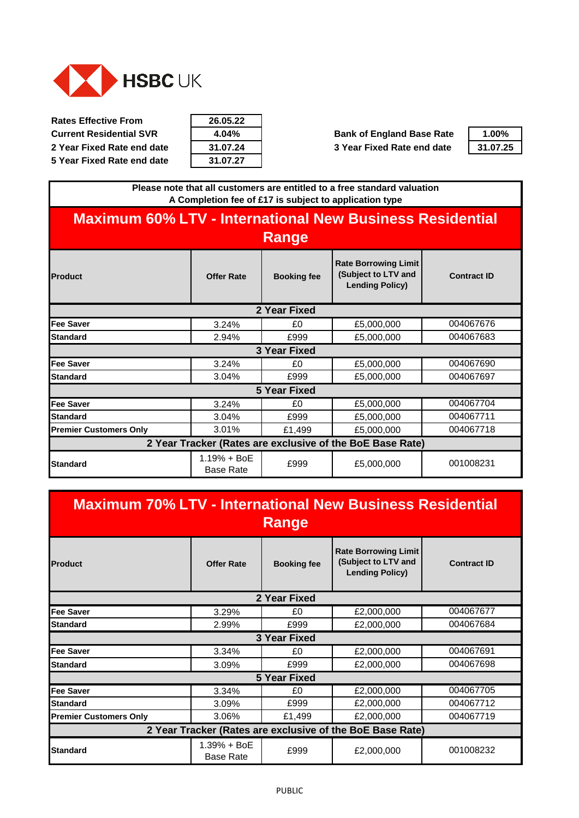<span id="page-10-0"></span>

| 26.05.22 |
|----------|
| 4.04%    |
| 31.07.24 |
| 31.07.27 |

**Current Residential SVR 4.04% <b>Bank of England Base Rate 2 Year Fixed Rate end date 31.07.24 3 Year Fixed Rate end date 31.07.25**

| $1.00\%$ |
|----------|
| 31.07.25 |

**Please note that all customers are entitled to a free standard valuation A Completion fee of £17 is subject to application type**

# **Maximum 60% LTV - International New Business Residential Range**

| <b>Product</b>                | <b>Offer Rate</b>                 | <b>Booking fee</b> | <b>Rate Borrowing Limit</b><br>(Subject to LTV and<br><b>Lending Policy)</b> | <b>Contract ID</b> |
|-------------------------------|-----------------------------------|--------------------|------------------------------------------------------------------------------|--------------------|
|                               |                                   | 2 Year Fixed       |                                                                              |                    |
| Fee Saver                     | 3.24%                             | £0                 | £5,000,000                                                                   | 004067676          |
| <b>Standard</b>               | 2.94%                             | £999               | £5,000,000                                                                   | 004067683          |
|                               |                                   | 3 Year Fixed       |                                                                              |                    |
| <b>Fee Saver</b>              | 3.24%                             | £0                 | £5,000,000                                                                   | 004067690          |
| <b>Standard</b>               | 3.04%                             | £999               | £5,000,000                                                                   | 004067697          |
|                               |                                   | 5 Year Fixed       |                                                                              |                    |
| <b>Fee Saver</b>              | 3.24%                             | £0                 | £5,000,000                                                                   | 004067704          |
| <b>Standard</b>               | 3.04%                             | £999               | £5,000,000                                                                   | 004067711          |
| <b>Premier Customers Only</b> | 3.01%                             | £1,499             | £5,000,000                                                                   | 004067718          |
|                               |                                   |                    | 2 Year Tracker (Rates are exclusive of the BoE Base Rate)                    |                    |
| Standard                      | $1.19% + BoE$<br><b>Base Rate</b> | £999               | £5,000,000                                                                   | 001008231          |

| <b>Maximum 70% LTV - International New Business Residential</b> |                                 | Range               |                                                                              |                    |
|-----------------------------------------------------------------|---------------------------------|---------------------|------------------------------------------------------------------------------|--------------------|
| <b>Product</b>                                                  | <b>Offer Rate</b>               | <b>Booking fee</b>  | <b>Rate Borrowing Limit</b><br>(Subject to LTV and<br><b>Lending Policy)</b> | <b>Contract ID</b> |
|                                                                 |                                 | 2 Year Fixed        |                                                                              |                    |
| <b>Fee Saver</b>                                                | 3.29%                           | £0                  | £2,000,000                                                                   | 004067677          |
| Standard                                                        | 2.99%                           | £999                | £2,000,000                                                                   | 004067684          |
|                                                                 |                                 | <b>3 Year Fixed</b> |                                                                              |                    |
| <b>Fee Saver</b>                                                | 3.34%                           | £0                  | £2,000,000                                                                   | 004067691          |
| Standard                                                        | 3.09%                           | £999                | £2,000,000                                                                   | 004067698          |
|                                                                 |                                 | <b>5 Year Fixed</b> |                                                                              |                    |
| <b>Fee Saver</b>                                                | 3.34%                           | £0                  | £2,000,000                                                                   | 004067705          |
| <b>Standard</b>                                                 | 3.09%                           | £999                | £2,000,000                                                                   | 004067712          |
| <b>Premier Customers Only</b>                                   | 3.06%                           | £1,499              | £2,000,000                                                                   | 004067719          |
|                                                                 |                                 |                     | 2 Year Tracker (Rates are exclusive of the BoE Base Rate)                    |                    |
| <b>Standard</b>                                                 | 1.39% + BoE<br><b>Base Rate</b> | £999                | £2,000,000                                                                   | 001008232          |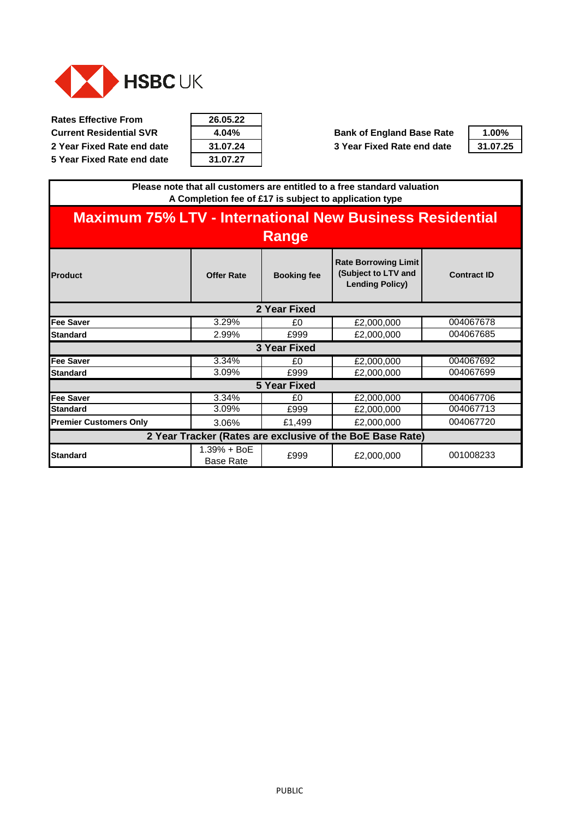

| 26.05.22 |
|----------|
| 4.04%    |
| 31.07.24 |
| 31.07.27 |

**Current Residential SVR 4.04% Bank of England Base Rate 1.00% 2 Year Fixed Rate end date 31.07.24 3 Year Fixed Rate end date 31.07.25**



**Please note that all customers are entitled to a free standard valuation A Completion fee of £17 is subject to application type**

| <b>Maximum 75% LTV - International New Business Residential</b> |                                 | Range               |                                                                              |                    |
|-----------------------------------------------------------------|---------------------------------|---------------------|------------------------------------------------------------------------------|--------------------|
| <b>Product</b>                                                  | <b>Offer Rate</b>               | <b>Booking fee</b>  | <b>Rate Borrowing Limit</b><br>(Subject to LTV and<br><b>Lending Policy)</b> | <b>Contract ID</b> |
|                                                                 |                                 | 2 Year Fixed        |                                                                              |                    |
| <b>Fee Saver</b>                                                | 3.29%                           | £0                  | £2,000,000                                                                   | 004067678          |
| <b>Standard</b>                                                 | 2.99%                           | £999                | £2,000,000                                                                   | 004067685          |
|                                                                 |                                 | 3 Year Fixed        |                                                                              |                    |
| <b>Fee Saver</b>                                                | 3.34%                           | £0                  | £2,000,000                                                                   | 004067692          |
| <b>Standard</b>                                                 | 3.09%                           | £999                | £2,000,000                                                                   | 004067699          |
|                                                                 |                                 | <b>5 Year Fixed</b> |                                                                              |                    |
| Fee Saver                                                       | 3.34%                           | £0                  | £2,000,000                                                                   | 004067706          |
| <b>Standard</b>                                                 | 3.09%                           | £999                | £2,000,000                                                                   | 004067713          |
| <b>Premier Customers Only</b>                                   | 3.06%                           | £1,499              | £2,000,000                                                                   | 004067720          |
|                                                                 |                                 |                     | 2 Year Tracker (Rates are exclusive of the BoE Base Rate)                    |                    |
| <b>Standard</b>                                                 | 1.39% + BoE<br><b>Base Rate</b> | £999                | £2,000,000                                                                   | 001008233          |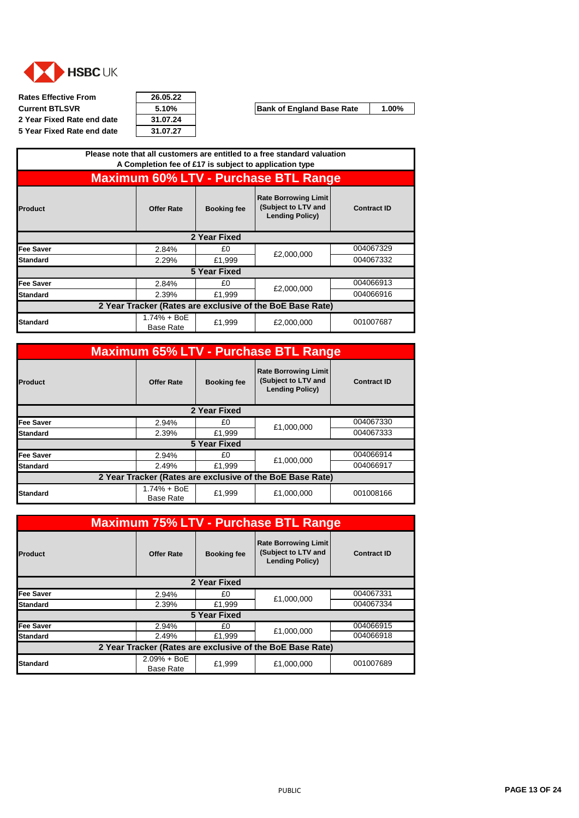<span id="page-12-0"></span>

**Rates Effective From 26.05.22 Current BTLSVR 5.10% Bank of England Base Rate** 1.00% **2 Year Fixed Rate end date 31.07.24 5 Year Fixed Rate end date 31.07.27**

| 26.05.22 |  |
|----------|--|
| 5.10%    |  |
| 31.07.24 |  |
| 21 N7 27 |  |

| <b>Maximum 60% LTV - Purchase BTL Range</b>                                                                                                              |  |
|----------------------------------------------------------------------------------------------------------------------------------------------------------|--|
|                                                                                                                                                          |  |
| <b>Rate Borrowing Limit</b><br>(Subject to LTV and<br>Product<br><b>Contract ID</b><br><b>Offer Rate</b><br><b>Booking fee</b><br><b>Lending Policy)</b> |  |
| 2 Year Fixed                                                                                                                                             |  |
| 004067329<br>Fee Saver<br>£0<br>2.84%<br>£2,000,000                                                                                                      |  |
| 004067332<br>£1,999<br>Standard<br>2.29%                                                                                                                 |  |
| 5 Year Fixed                                                                                                                                             |  |
| 004066913<br>Fee Saver<br>£0<br>2.84%<br>£2,000,000                                                                                                      |  |
| 004066916<br>£1,999<br>2.39%<br>Standard                                                                                                                 |  |
| 2 Year Tracker (Rates are exclusive of the BoE Base Rate)                                                                                                |  |
| 1.74% + BoE<br>001007687<br>£1,999<br>£2,000,000<br>Standard<br><b>Base Rate</b>                                                                         |  |

|                  |                                   |                    | <b>Maximum 65% LTV - Purchase BTL Range</b>                                  |                    |
|------------------|-----------------------------------|--------------------|------------------------------------------------------------------------------|--------------------|
| Product          | <b>Offer Rate</b>                 | <b>Booking fee</b> | <b>Rate Borrowing Limit</b><br>(Subject to LTV and<br><b>Lending Policy)</b> | <b>Contract ID</b> |
|                  |                                   | 2 Year Fixed       |                                                                              |                    |
| Fee Saver        | 2.94%                             | £0                 | £1,000,000                                                                   | 004067330          |
| <b>Standard</b>  | 2.39%                             | £1,999             |                                                                              | 004067333          |
|                  |                                   | 5 Year Fixed       |                                                                              |                    |
| <b>Fee Saver</b> | 2.94%                             | £0                 | £1.000.000                                                                   | 004066914          |
| <b>Standard</b>  | 2.49%                             | £1,999             |                                                                              | 004066917          |
|                  |                                   |                    | 2 Year Tracker (Rates are exclusive of the BoE Base Rate)                    |                    |
| <b>Standard</b>  | $1.74% + BOE$<br><b>Base Rate</b> | £1,999             | £1,000,000                                                                   | 001008166          |

|                  | <b>Maximum 75% LTV - Purchase BTL Range</b>               |                    |                                                                              |                    |
|------------------|-----------------------------------------------------------|--------------------|------------------------------------------------------------------------------|--------------------|
| Product          | <b>Offer Rate</b>                                         | <b>Booking fee</b> | <b>Rate Borrowing Limit</b><br>(Subject to LTV and<br><b>Lending Policy)</b> | <b>Contract ID</b> |
|                  |                                                           | 2 Year Fixed       |                                                                              |                    |
| <b>Fee Saver</b> | 2.94%                                                     | £0                 | £1,000,000                                                                   | 004067331          |
| <b>Standard</b>  | 2.39%                                                     | £1,999             |                                                                              | 004067334          |
|                  |                                                           | 5 Year Fixed       |                                                                              |                    |
| Fee Saver        | 2.94%                                                     | £0                 | £1.000.000                                                                   | 004066915          |
| <b>Standard</b>  | 2.49%                                                     | £1,999             |                                                                              | 004066918          |
|                  | 2 Year Tracker (Rates are exclusive of the BoE Base Rate) |                    |                                                                              |                    |
| <b>Standard</b>  | $2.09% + BoE$<br><b>Base Rate</b>                         | £1,999             | £1,000,000                                                                   | 001007689          |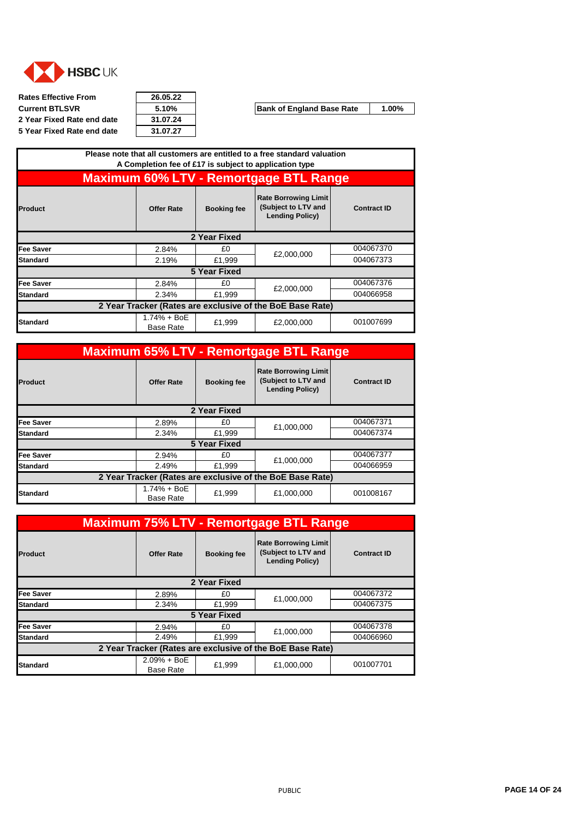<span id="page-13-0"></span>

**Rates Effective From 26.05.22 Current BTLSVR 5.10% Bank of England Base Rate** 1.00% **2 Year Fixed Rate end date 31.07.24 5 Year Fixed Rate end date 31.07.27**

| <b>Product</b>                                                                                                                                                                                                                                                                                                                                                                       | <b>Offer Rate</b> | <b>Booking fee</b> | <b>Rate Borrowing Limit</b><br>(Subject to LTV and<br><b>Lending Policy)</b> | <b>Contract ID</b> |
|--------------------------------------------------------------------------------------------------------------------------------------------------------------------------------------------------------------------------------------------------------------------------------------------------------------------------------------------------------------------------------------|-------------------|--------------------|------------------------------------------------------------------------------|--------------------|
|                                                                                                                                                                                                                                                                                                                                                                                      |                   |                    |                                                                              |                    |
| Fee Saver                                                                                                                                                                                                                                                                                                                                                                            | 2.84%             | £0                 |                                                                              | 004067370          |
| <b>Standard</b>                                                                                                                                                                                                                                                                                                                                                                      | 2.19%             | £1,999             |                                                                              | 004067373          |
|                                                                                                                                                                                                                                                                                                                                                                                      |                   |                    |                                                                              |                    |
| <b>Fee Saver</b>                                                                                                                                                                                                                                                                                                                                                                     | 2.84%             | £0                 |                                                                              | 004067376          |
| <b>Standard</b>                                                                                                                                                                                                                                                                                                                                                                      | 2.34%             | £1,999             |                                                                              | 004066958          |
| Please note that all customers are entitled to a free standard valuation<br>A Completion fee of £17 is subject to application type<br><b>Maximum 60% LTV - Remortgage BTL Range</b><br>2 Year Fixed<br>£2,000,000<br>5 Year Fixed<br>£2,000,000<br>2 Year Tracker (Rates are exclusive of the BoE Base Rate)<br>1.74% + BoE<br>001007699<br>£1,999<br>£2,000,000<br><b>Base Rate</b> |                   |                    |                                                                              |                    |
| <b>Standard</b>                                                                                                                                                                                                                                                                                                                                                                      |                   |                    |                                                                              |                    |

|                                                           |                                   |                    | <b>Maximum 65% LTV - Remortgage BTL Range</b>                                |                    |
|-----------------------------------------------------------|-----------------------------------|--------------------|------------------------------------------------------------------------------|--------------------|
| <b>Product</b>                                            | <b>Offer Rate</b>                 | <b>Booking fee</b> | <b>Rate Borrowing Limit</b><br>(Subject to LTV and<br><b>Lending Policy)</b> | <b>Contract ID</b> |
|                                                           |                                   | 2 Year Fixed       |                                                                              |                    |
| Fee Saver                                                 | 2.89%                             | £0                 | £1,000,000                                                                   | 004067371          |
| lStandard                                                 | 2.34%                             | £1,999             |                                                                              | 004067374          |
|                                                           |                                   | 5 Year Fixed       |                                                                              |                    |
| Fee Saver                                                 | 2.94%                             | £0                 | £1.000.000                                                                   | 004067377          |
| Standard                                                  | 2.49%                             | £1,999             |                                                                              | 004066959          |
| 2 Year Tracker (Rates are exclusive of the BoE Base Rate) |                                   |                    |                                                                              |                    |
| <b>Standard</b>                                           | $1.74% + BOE$<br><b>Base Rate</b> | £1,999             | £1,000,000                                                                   | 001008167          |

|                 | <b>Maximum 75% LTV - Remortgage BTL Range</b>             |                     |                                                                              |                    |
|-----------------|-----------------------------------------------------------|---------------------|------------------------------------------------------------------------------|--------------------|
| <b>Product</b>  | <b>Offer Rate</b>                                         | <b>Booking fee</b>  | <b>Rate Borrowing Limit</b><br>(Subject to LTV and<br><b>Lending Policy)</b> | <b>Contract ID</b> |
|                 |                                                           | 2 Year Fixed        |                                                                              |                    |
| Fee Saver       | 2.89%                                                     | £0                  | £1,000,000                                                                   | 004067372          |
| <b>Standard</b> | 2.34%                                                     | £1,999              |                                                                              | 004067375          |
|                 |                                                           | <b>5 Year Fixed</b> |                                                                              |                    |
| Fee Saver       | 2.94%                                                     | £0                  | £1,000,000                                                                   | 004067378          |
| Standard        | 2.49%                                                     | £1,999              |                                                                              | 004066960          |
|                 | 2 Year Tracker (Rates are exclusive of the BoE Base Rate) |                     |                                                                              |                    |
| <b>Standard</b> | $2.09% + BoE$<br><b>Base Rate</b>                         | £1,999              | £1,000,000                                                                   | 001007701          |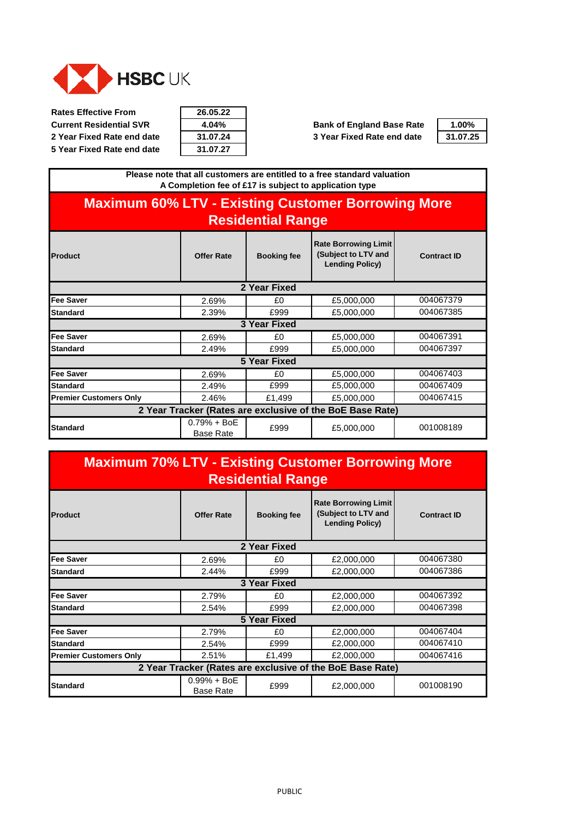<span id="page-14-0"></span>

**Rates Effective From 26.05.22**

**5 Year Fixed Rate end date** 

| 26.05.22 |  |
|----------|--|
| 4.04%    |  |
| 31.07.24 |  |
| 31.07.27 |  |

**Current Residential SVR**  4.04% **Bank of England Base Rate 2 Year Fixed Rate end date 31.07.24 3 Year Fixed Rate end date 31.07.25**

| 1.00%    |
|----------|
| 31.07.25 |

**Product COLLECTER IN SECTION CONTRACT CONTRACT BOOKing fee Rate Borrowing Limit (Subject to LTV and Lending Policy) Please note that all customers are entitled to a free standard valuation A Completion fee of £17 is subject to application type Maximum 60% LTV - Existing Customer Borrowing More Residential Range Contract ID**

|                                                           | 2 Year Fixed                      |              |            |           |  |  |
|-----------------------------------------------------------|-----------------------------------|--------------|------------|-----------|--|--|
| Fee Saver                                                 | 2.69%                             | £0           | £5,000,000 | 004067379 |  |  |
| Standard                                                  | 2.39%                             | £999         | £5,000,000 | 004067385 |  |  |
|                                                           |                                   | 3 Year Fixed |            |           |  |  |
| <b>Fee Saver</b>                                          | 2.69%                             | £0           | £5,000,000 | 004067391 |  |  |
| <b>Standard</b>                                           | 2.49%                             | £999         | £5,000,000 | 004067397 |  |  |
|                                                           |                                   | 5 Year Fixed |            |           |  |  |
| Fee Saver                                                 | 2.69%                             | £0           | £5,000,000 | 004067403 |  |  |
| <b>Standard</b>                                           | 2.49%                             | £999         | £5,000,000 | 004067409 |  |  |
| <b>Premier Customers Only</b>                             | 2.46%                             | £1,499       | £5,000,000 | 004067415 |  |  |
| 2 Year Tracker (Rates are exclusive of the BoE Base Rate) |                                   |              |            |           |  |  |
| Standard                                                  | $0.79% + BoE$<br><b>Base Rate</b> | £999         | £5,000,000 | 001008189 |  |  |

### **Maximum 70% LTV - Existing Customer Borrowing More Residential Range**

| <b>Product</b>                                            | <b>Offer Rate</b>                 | <b>Booking fee</b>  | <b>Rate Borrowing Limit</b><br>(Subject to LTV and<br><b>Lending Policy)</b> | <b>Contract ID</b> |
|-----------------------------------------------------------|-----------------------------------|---------------------|------------------------------------------------------------------------------|--------------------|
|                                                           |                                   | 2 Year Fixed        |                                                                              |                    |
| <b>Fee Saver</b>                                          | 2.69%                             | £0                  | £2,000,000                                                                   | 004067380          |
| <b>Standard</b>                                           | 2.44%                             | £999                | £2,000,000                                                                   | 004067386          |
|                                                           |                                   | <b>3 Year Fixed</b> |                                                                              |                    |
| <b>Fee Saver</b>                                          | 2.79%                             | £0                  | £2,000,000                                                                   | 004067392          |
| <b>Standard</b>                                           | 2.54%                             | £999                | £2,000,000                                                                   | 004067398          |
| 5 Year Fixed                                              |                                   |                     |                                                                              |                    |
| <b>Fee Saver</b>                                          | 2.79%                             | £0                  | £2,000,000                                                                   | 004067404          |
| <b>Standard</b>                                           | 2.54%                             | £999                | £2,000,000                                                                   | 004067410          |
| <b>Premier Customers Only</b>                             | 2.51%                             | £1,499              | £2,000,000                                                                   | 004067416          |
| 2 Year Tracker (Rates are exclusive of the BoE Base Rate) |                                   |                     |                                                                              |                    |
| <b>Standard</b>                                           | $0.99% + BoE$<br><b>Base Rate</b> | £999                | £2,000,000                                                                   | 001008190          |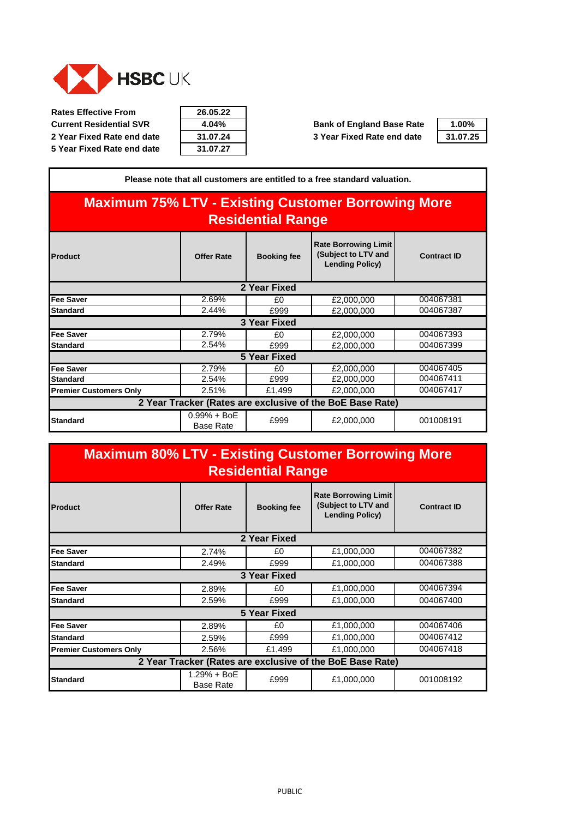

**Rates Effective From Current Residential SVR 4.04% Bank of England Base Rate** 1.00% **2 Year Fixed Rate end date 31.07.24 3 Year Fixed Rate end date 31.07.25**

|  | 2 Year Fixed Rate end date |  |  |
|--|----------------------------|--|--|
|  | 5 Year Fixed Rate end date |  |  |

| 26.05.22 |  |
|----------|--|
| 4.04%    |  |
| 31.07.24 |  |
| 31.07.27 |  |



| Please note that all customers are entitled to a free standard valuation.             |                                   |                     |                                                                              |                    |  |
|---------------------------------------------------------------------------------------|-----------------------------------|---------------------|------------------------------------------------------------------------------|--------------------|--|
| <b>Maximum 75% LTV - Existing Customer Borrowing More</b><br><b>Residential Range</b> |                                   |                     |                                                                              |                    |  |
| <b>Product</b>                                                                        | <b>Offer Rate</b>                 | <b>Booking fee</b>  | <b>Rate Borrowing Limit</b><br>(Subject to LTV and<br><b>Lending Policy)</b> | <b>Contract ID</b> |  |
| 2 Year Fixed                                                                          |                                   |                     |                                                                              |                    |  |
| Fee Saver                                                                             | 2.69%                             | £0                  | £2,000,000                                                                   | 004067381          |  |
| <b>Standard</b>                                                                       | 2.44%                             | £999                | £2,000,000                                                                   | 004067387          |  |
|                                                                                       |                                   | 3 Year Fixed        |                                                                              |                    |  |
| Fee Saver                                                                             | 2.79%                             | £0                  | £2,000,000                                                                   | 004067393          |  |
| <b>Standard</b>                                                                       | 2.54%                             | £999                | £2,000,000                                                                   | 004067399          |  |
|                                                                                       |                                   | <b>5 Year Fixed</b> |                                                                              |                    |  |
| Fee Saver                                                                             | 2.79%                             | £0                  | £2,000,000                                                                   | 004067405          |  |
| <b>Standard</b>                                                                       | 2.54%                             | £999                | £2,000,000                                                                   | 004067411          |  |
| <b>Premier Customers Only</b>                                                         | 2.51%                             | £1,499              | £2,000,000                                                                   | 004067417          |  |
| 2 Year Tracker (Rates are exclusive of the BoE Base Rate)                             |                                   |                     |                                                                              |                    |  |
| <b>Standard</b>                                                                       | $0.99% + BoE$<br><b>Base Rate</b> | £999                | £2,000,000                                                                   | 001008191          |  |

| <b>Maximum 80% LTV - Existing Customer Borrowing More</b><br><b>Residential Range</b> |                                 |                     |                                                                              |                    |
|---------------------------------------------------------------------------------------|---------------------------------|---------------------|------------------------------------------------------------------------------|--------------------|
| <b>Product</b>                                                                        | <b>Offer Rate</b>               | <b>Booking fee</b>  | <b>Rate Borrowing Limit</b><br>(Subject to LTV and<br><b>Lending Policy)</b> | <b>Contract ID</b> |
|                                                                                       |                                 | 2 Year Fixed        |                                                                              |                    |
| <b>Fee Saver</b>                                                                      | 2.74%                           | £0                  | £1,000,000                                                                   | 004067382          |
| <b>Standard</b>                                                                       | 2.49%                           | £999                | £1,000,000                                                                   | 004067388          |
|                                                                                       |                                 | 3 Year Fixed        |                                                                              |                    |
| <b>Fee Saver</b>                                                                      | 2.89%                           | £0                  | £1,000,000                                                                   | 004067394          |
| <b>Standard</b>                                                                       | 2.59%                           | £999                | £1,000,000                                                                   | 004067400          |
|                                                                                       |                                 | <b>5 Year Fixed</b> |                                                                              |                    |
| <b>Fee Saver</b>                                                                      | 2.89%                           | £0                  | £1,000,000                                                                   | 004067406          |
| <b>Standard</b>                                                                       | 2.59%                           | £999                | £1,000,000                                                                   | 004067412          |
| <b>Premier Customers Only</b>                                                         | 2.56%                           | £1,499              | £1,000,000                                                                   | 004067418          |
|                                                                                       |                                 |                     | 2 Year Tracker (Rates are exclusive of the BoE Base Rate)                    |                    |
| <b>Standard</b>                                                                       | 1.29% + BoE<br><b>Base Rate</b> | £999                | £1,000,000                                                                   | 001008192          |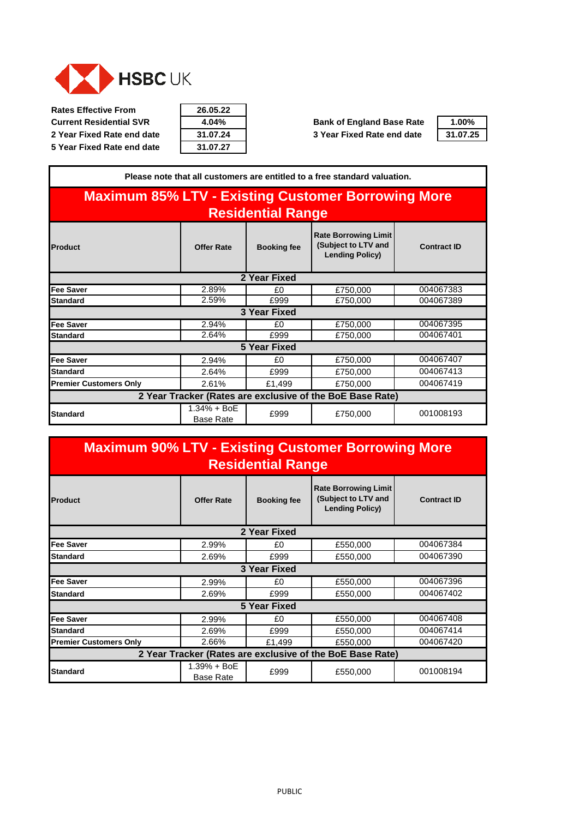

**Rates Effective From 26.05.22**

| Rates Effective From           | 26.05.22 |                                  |
|--------------------------------|----------|----------------------------------|
| <b>Current Residential SVR</b> | $4.04\%$ | <b>Bank of England Base Rate</b> |
| 2 Year Fixed Rate end date     | 31.07.24 | 3 Year Fixed Rate end date       |
| 5 Year Fixed Rate end date     | 31.07.27 |                                  |

┑

| $1.00\%$ |  |
|----------|--|
| 31.07.25 |  |

| Please note that all customers are entitled to a free standard valuation.             |                                   |                    |                                                                              |                    |
|---------------------------------------------------------------------------------------|-----------------------------------|--------------------|------------------------------------------------------------------------------|--------------------|
| <b>Maximum 85% LTV - Existing Customer Borrowing More</b><br><b>Residential Range</b> |                                   |                    |                                                                              |                    |
| <b>Product</b>                                                                        | <b>Offer Rate</b>                 | <b>Booking fee</b> | <b>Rate Borrowing Limit</b><br>(Subject to LTV and<br><b>Lending Policy)</b> | <b>Contract ID</b> |
|                                                                                       |                                   | 2 Year Fixed       |                                                                              |                    |
| Fee Saver                                                                             | 2.89%                             | £0                 | £750,000                                                                     | 004067383          |
| <b>Standard</b>                                                                       | 2.59%                             | £999               | £750,000                                                                     | 004067389          |
|                                                                                       |                                   | 3 Year Fixed       |                                                                              |                    |
| Fee Saver                                                                             | 2.94%                             | £0                 | £750,000                                                                     | 004067395          |
| Standard                                                                              | 2.64%                             | £999               | £750,000                                                                     | 004067401          |
|                                                                                       |                                   | 5 Year Fixed       |                                                                              |                    |
| Fee Saver                                                                             | 2.94%                             | £0                 | £750,000                                                                     | 004067407          |
| <b>Standard</b>                                                                       | 2.64%                             | £999               | £750,000                                                                     | 004067413          |
| <b>Premier Customers Only</b>                                                         | 2.61%                             | £1,499             | £750,000                                                                     | 004067419          |
| 2 Year Tracker (Rates are exclusive of the BoE Base Rate)                             |                                   |                    |                                                                              |                    |
| <b>Standard</b>                                                                       | $1.34% + BoE$<br><b>Base Rate</b> | £999               | £750,000                                                                     | 001008193          |

# **Maximum 90% LTV - Existing Customer Borrowing More Residential Range**

| <b>Product</b>                                            | <b>Offer Rate</b>               | <b>Booking fee</b> | <b>Rate Borrowing Limit</b><br>(Subject to LTV and<br><b>Lending Policy)</b> | <b>Contract ID</b> |  |
|-----------------------------------------------------------|---------------------------------|--------------------|------------------------------------------------------------------------------|--------------------|--|
|                                                           |                                 | 2 Year Fixed       |                                                                              |                    |  |
| <b>Fee Saver</b>                                          | 2.99%                           | £0                 | £550,000                                                                     | 004067384          |  |
| Standard                                                  | 2.69%                           | £999               | £550,000                                                                     | 004067390          |  |
|                                                           |                                 | 3 Year Fixed       |                                                                              |                    |  |
| <b>Fee Saver</b>                                          | 2.99%                           | £0                 | £550,000                                                                     | 004067396          |  |
| Standard                                                  | 2.69%                           | £999               | £550,000                                                                     | 004067402          |  |
| 5 Year Fixed                                              |                                 |                    |                                                                              |                    |  |
| <b>Fee Saver</b>                                          | 2.99%                           | £0                 | £550,000                                                                     | 004067408          |  |
| Standard                                                  | 2.69%                           | £999               | £550,000                                                                     | 004067414          |  |
| <b>Premier Customers Only</b>                             | 2.66%                           | £1,499             | £550,000                                                                     | 004067420          |  |
| 2 Year Tracker (Rates are exclusive of the BoE Base Rate) |                                 |                    |                                                                              |                    |  |
| <b>Standard</b>                                           | 1.39% + BoE<br><b>Base Rate</b> | £999               | £550,000                                                                     | 001008194          |  |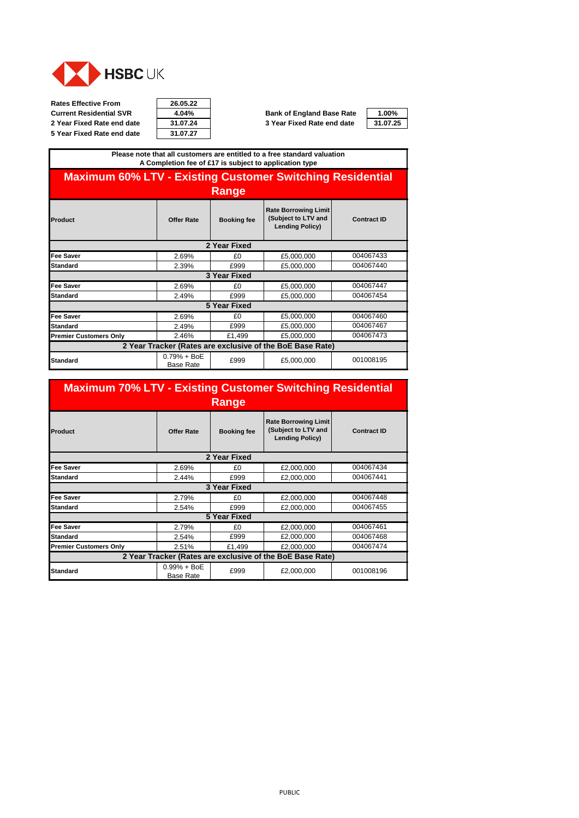<span id="page-17-0"></span>

**Rates Effective From 26.05.22 Current Residential SVR**  $\overline{4.04\%}$  **Bank of England Base Rate**  $\overline{4.00\%}$ <br> **2 Year Fixed Rate end date**  $\overline{31.07.25}$  **3 Year Fixed Rate end date**  $\overline{31.07.25}$ **5 Year Fixed Rate end date** 

| 26.05.22 |  |
|----------|--|
| 4.04%    |  |
| 31.07.24 |  |
| 21 N7 27 |  |

**2 Year Fixed Rate end date 31.07.24 3 Year Fixed Rate end date 31.07.25**

#### **Please note that all customers are entitled to a free standard valuation A Completion fee of £17 is subject to application type**

## **Maximum 60% LTV - Existing Customer Switching Residential Range**

| Product                       | <b>Offer Rate</b>                 | <b>Booking fee</b> | <b>Rate Borrowing Limit</b><br>(Subject to LTV and<br><b>Lending Policy)</b> | <b>Contract ID</b> |
|-------------------------------|-----------------------------------|--------------------|------------------------------------------------------------------------------|--------------------|
|                               |                                   | 2 Year Fixed       |                                                                              |                    |
| <b>Fee Saver</b>              | 2.69%                             | £0                 | £5,000,000                                                                   | 004067433          |
| Standard                      | 2.39%                             | £999               | £5,000,000                                                                   | 004067440          |
|                               |                                   | 3 Year Fixed       |                                                                              |                    |
| <b>Fee Saver</b>              | 2.69%                             | £0                 | £5,000,000                                                                   | 004067447          |
| <b>Standard</b>               | 2.49%                             | £999               | £5,000,000                                                                   | 004067454          |
|                               |                                   | 5 Year Fixed       |                                                                              |                    |
| <b>Fee Saver</b>              | 2.69%                             | £0                 | £5,000,000                                                                   | 004067460          |
| <b>Standard</b>               | 2.49%                             | £999               | £5,000,000                                                                   | 004067467          |
| <b>Premier Customers Only</b> | 2.46%                             | £1,499             | £5,000,000                                                                   | 004067473          |
|                               |                                   |                    | 2 Year Tracker (Rates are exclusive of the BoE Base Rate)                    |                    |
| <b>Standard</b>               | $0.79% + BoE$<br><b>Base Rate</b> | £999               | £5,000,000                                                                   | 001008195          |

#### **Maximum 70% LTV - Existing Customer Switching Residential Range**

| Product                                                   | <b>Offer Rate</b>                 | <b>Booking fee</b>  | <b>Rate Borrowing Limit</b><br>(Subject to LTV and<br><b>Lending Policy)</b> | <b>Contract ID</b> |  |
|-----------------------------------------------------------|-----------------------------------|---------------------|------------------------------------------------------------------------------|--------------------|--|
|                                                           |                                   | 2 Year Fixed        |                                                                              |                    |  |
| <b>Fee Saver</b>                                          | 2.69%                             | £0                  | £2,000,000                                                                   | 004067434          |  |
| <b>Standard</b>                                           | 2.44%                             | £999                | £2,000,000                                                                   | 004067441          |  |
|                                                           |                                   | 3 Year Fixed        |                                                                              |                    |  |
| <b>Fee Saver</b>                                          | 2.79%                             | £0                  | £2,000,000                                                                   | 004067448          |  |
| <b>Standard</b>                                           | 2.54%                             | £999                | £2,000,000                                                                   | 004067455          |  |
|                                                           |                                   | <b>5 Year Fixed</b> |                                                                              |                    |  |
| <b>Fee Saver</b>                                          | 2.79%                             | £0                  | £2,000,000                                                                   | 004067461          |  |
| <b>Standard</b>                                           | 2.54%                             | £999                | £2,000,000                                                                   | 004067468          |  |
| <b>Premier Customers Only</b>                             | 2.51%                             | £1,499              | £2,000,000                                                                   | 004067474          |  |
| 2 Year Tracker (Rates are exclusive of the BoE Base Rate) |                                   |                     |                                                                              |                    |  |
| <b>Standard</b>                                           | $0.99% + BoE$<br><b>Base Rate</b> | £999                | £2,000,000                                                                   | 001008196          |  |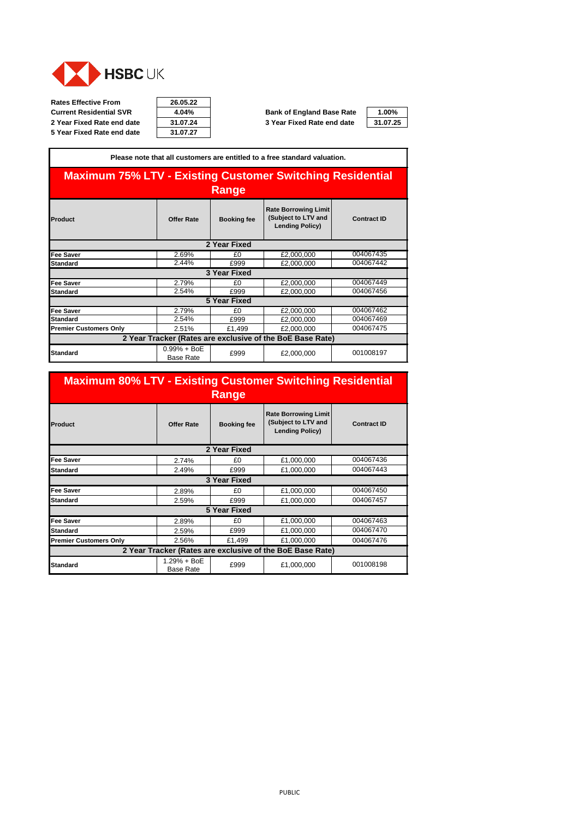

| 26.05.22 |  |
|----------|--|
| 4.04%    |  |
| 31.07.24 |  |
| 31 N7 27 |  |

**Current Residential SVR 4.04% Bank of England Base Rate 1.00% 2 Year Fixed Rate end date 31.07.24 3 Year Fixed Rate end date 31.07.25**



| Please note that all customers are entitled to a free standard valuation. |                                   |                     |                                                                              |                    |  |  |
|---------------------------------------------------------------------------|-----------------------------------|---------------------|------------------------------------------------------------------------------|--------------------|--|--|
| <b>Maximum 75% LTV - Existing Customer Switching Residential</b><br>Range |                                   |                     |                                                                              |                    |  |  |
| Product                                                                   | <b>Offer Rate</b>                 | <b>Booking fee</b>  | <b>Rate Borrowing Limit</b><br>(Subject to LTV and<br><b>Lending Policy)</b> | <b>Contract ID</b> |  |  |
|                                                                           |                                   | 2 Year Fixed        |                                                                              |                    |  |  |
| Fee Saver                                                                 | 2.69%                             | £0                  | £2,000,000                                                                   | 004067435          |  |  |
| <b>Standard</b>                                                           | 2.44%                             | £999                | £2,000,000                                                                   | 004067442          |  |  |
|                                                                           |                                   | 3 Year Fixed        |                                                                              |                    |  |  |
| Fee Saver                                                                 | 2.79%                             | £0                  | £2,000,000                                                                   | 004067449          |  |  |
| <b>Standard</b>                                                           | 2.54%                             | £999                | £2,000,000                                                                   | 004067456          |  |  |
|                                                                           |                                   | <b>5 Year Fixed</b> |                                                                              |                    |  |  |
| Fee Saver                                                                 | 2.79%                             | £0                  | £2,000,000                                                                   | 004067462          |  |  |
| <b>Standard</b>                                                           | 2.54%                             | £999                | £2,000,000                                                                   | 004067469          |  |  |
| <b>Premier Customers Only</b>                                             | 2.51%                             | £1,499              | £2,000,000                                                                   | 004067475          |  |  |
| 2 Year Tracker (Rates are exclusive of the BoE Base Rate)                 |                                   |                     |                                                                              |                    |  |  |
| <b>Standard</b>                                                           | $0.99% + BoE$<br><b>Base Rate</b> | £999                | £2,000,000                                                                   | 001008197          |  |  |

| <b>Maximum 80% LTV - Existing Customer Switching Residential</b> |                                 | Range               |                                                                              |                    |
|------------------------------------------------------------------|---------------------------------|---------------------|------------------------------------------------------------------------------|--------------------|
| Product                                                          | <b>Offer Rate</b>               | <b>Booking fee</b>  | <b>Rate Borrowing Limit</b><br>(Subject to LTV and<br><b>Lending Policy)</b> | <b>Contract ID</b> |
|                                                                  |                                 | 2 Year Fixed        |                                                                              |                    |
| <b>Fee Saver</b>                                                 | 2.74%                           | £0                  | £1,000,000                                                                   | 004067436          |
| <b>Standard</b>                                                  | 2.49%                           | £999                | £1,000,000                                                                   | 004067443          |
|                                                                  |                                 | 3 Year Fixed        |                                                                              |                    |
| <b>Fee Saver</b>                                                 | 2.89%                           | £0                  | £1,000,000                                                                   | 004067450          |
| <b>Standard</b>                                                  | 2.59%                           | £999                | £1,000,000                                                                   | 004067457          |
|                                                                  |                                 | <b>5 Year Fixed</b> |                                                                              |                    |
| <b>Fee Saver</b>                                                 | 2.89%                           | £0                  | £1,000,000                                                                   | 004067463          |
| <b>Standard</b>                                                  | 2.59%                           | £999                | £1,000,000                                                                   | 004067470          |
| <b>Premier Customers Only</b>                                    | 2.56%                           | £1,499              | £1,000,000                                                                   | 004067476          |
|                                                                  |                                 |                     | 2 Year Tracker (Rates are exclusive of the BoE Base Rate)                    |                    |
| <b>Standard</b>                                                  | 1.29% + BoE<br><b>Base Rate</b> | £999                | £1,000,000                                                                   | 001008198          |

#### PUBLIC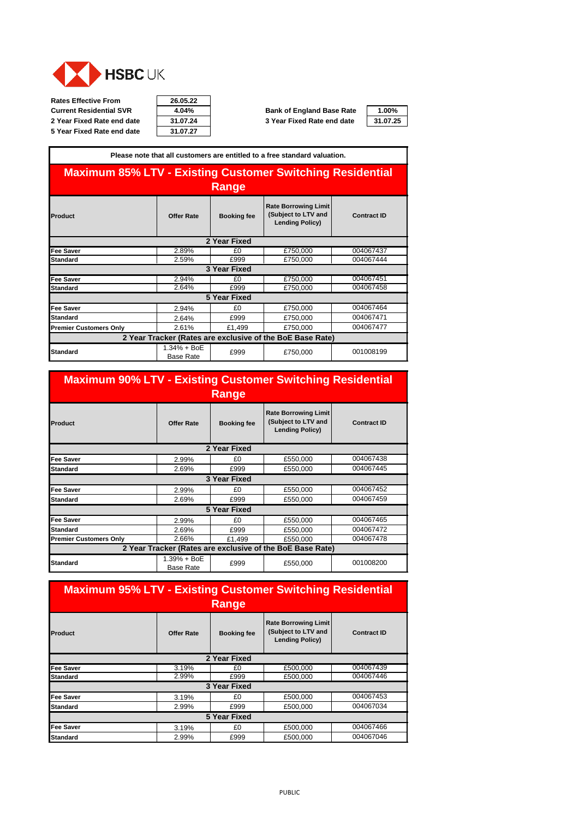

**Rates Effective From 26.05.22 Current Residential SVR 4.04% Bank of England Base Rate 1.00% 2 Year Fixed Rate end date 31.07.24 3 Year Fixed Rate end date 31.07.25 5 Year Fixed Rate end date** 

| 26.05.22 |  |
|----------|--|
| 4.04%    |  |
| 31.07.24 |  |
| 21 N7 27 |  |

|                                                                           |                                   |                     | Please note that all customers are entitled to a free standard valuation.    |                    |  |  |
|---------------------------------------------------------------------------|-----------------------------------|---------------------|------------------------------------------------------------------------------|--------------------|--|--|
| <b>Maximum 85% LTV - Existing Customer Switching Residential</b><br>Range |                                   |                     |                                                                              |                    |  |  |
| Product                                                                   | <b>Offer Rate</b>                 | <b>Booking fee</b>  | <b>Rate Borrowing Limit</b><br>(Subject to LTV and<br><b>Lending Policy)</b> | <b>Contract ID</b> |  |  |
|                                                                           |                                   | 2 Year Fixed        |                                                                              |                    |  |  |
| <b>Fee Saver</b>                                                          | 2.89%                             | £0                  | £750,000                                                                     | 004067437          |  |  |
| <b>Standard</b>                                                           | 2.59%                             | £999                | £750,000                                                                     | 004067444          |  |  |
|                                                                           |                                   | 3 Year Fixed        |                                                                              |                    |  |  |
| <b>Fee Saver</b>                                                          | 2.94%                             | £0                  | £750,000                                                                     | 004067451          |  |  |
| <b>Standard</b>                                                           | 2.64%                             | £999                | £750,000                                                                     | 004067458          |  |  |
|                                                                           |                                   | <b>5 Year Fixed</b> |                                                                              |                    |  |  |
| <b>Fee Saver</b>                                                          | 2.94%                             | £0                  | £750,000                                                                     | 004067464          |  |  |
| <b>Standard</b>                                                           | 2.64%                             | £999                | £750,000                                                                     | 004067471          |  |  |
| <b>Premier Customers Only</b>                                             | 2.61%                             | £1,499              | £750,000                                                                     | 004067477          |  |  |
| 2 Year Tracker (Rates are exclusive of the BoE Base Rate)                 |                                   |                     |                                                                              |                    |  |  |
| <b>Standard</b>                                                           | $1.34% + BoE$<br><b>Base Rate</b> | £999                | £750,000                                                                     | 001008199          |  |  |

| <b>Maximum 90% LTV - Existing Customer Switching Residential</b> |                                 | Range               |                                                                              |                    |
|------------------------------------------------------------------|---------------------------------|---------------------|------------------------------------------------------------------------------|--------------------|
| Product                                                          | <b>Offer Rate</b>               | <b>Booking fee</b>  | <b>Rate Borrowing Limit</b><br>(Subject to LTV and<br><b>Lending Policy)</b> | <b>Contract ID</b> |
|                                                                  |                                 | 2 Year Fixed        |                                                                              |                    |
| <b>Fee Saver</b>                                                 | 2.99%                           | £0                  | £550,000                                                                     | 004067438          |
| <b>Standard</b>                                                  | 2.69%                           | £999                | £550,000                                                                     | 004067445          |
|                                                                  |                                 | 3 Year Fixed        |                                                                              |                    |
| <b>Fee Saver</b>                                                 | 2.99%                           | £0                  | £550,000                                                                     | 004067452          |
| <b>Standard</b>                                                  | 2.69%                           | £999                | £550,000                                                                     | 004067459          |
|                                                                  |                                 | <b>5 Year Fixed</b> |                                                                              |                    |
| <b>Fee Saver</b>                                                 | 2.99%                           | £0                  | £550,000                                                                     | 004067465          |
| Standard                                                         | 2.69%                           | £999                | £550,000                                                                     | 004067472          |
| <b>Premier Customers Only</b>                                    | 2.66%                           | £1,499              | £550.000                                                                     | 004067478          |
|                                                                  |                                 |                     | 2 Year Tracker (Rates are exclusive of the BoE Base Rate)                    |                    |
| <b>Standard</b>                                                  | 1.39% + BoE<br><b>Base Rate</b> | £999                | £550,000                                                                     | 001008200          |

#### **Maximum 95% LTV - Existing Customer Switching Residential Range**

|                  |                   | <u>.</u>           |                                                                              |                    |
|------------------|-------------------|--------------------|------------------------------------------------------------------------------|--------------------|
| Product          | <b>Offer Rate</b> | <b>Booking fee</b> | <b>Rate Borrowing Limit</b><br>(Subject to LTV and<br><b>Lending Policy)</b> | <b>Contract ID</b> |
|                  |                   | 2 Year Fixed       |                                                                              |                    |
| Fee Saver        | 3.19%             | £0                 | £500.000                                                                     | 004067439          |
| Standard         | 2.99%             | £999               | £500.000                                                                     | 004067446          |
|                  |                   | 3 Year Fixed       |                                                                              |                    |
| Fee Saver        | 3.19%             | £0                 | £500,000                                                                     | 004067453          |
| Standard         | 2.99%             | £999               | £500,000                                                                     | 004067034          |
|                  |                   | 5 Year Fixed       |                                                                              |                    |
| <b>Fee Saver</b> | 3.19%             | £0                 | £500.000                                                                     | 004067466          |
| Standard         | 2.99%             | £999               | £500,000                                                                     | 004067046          |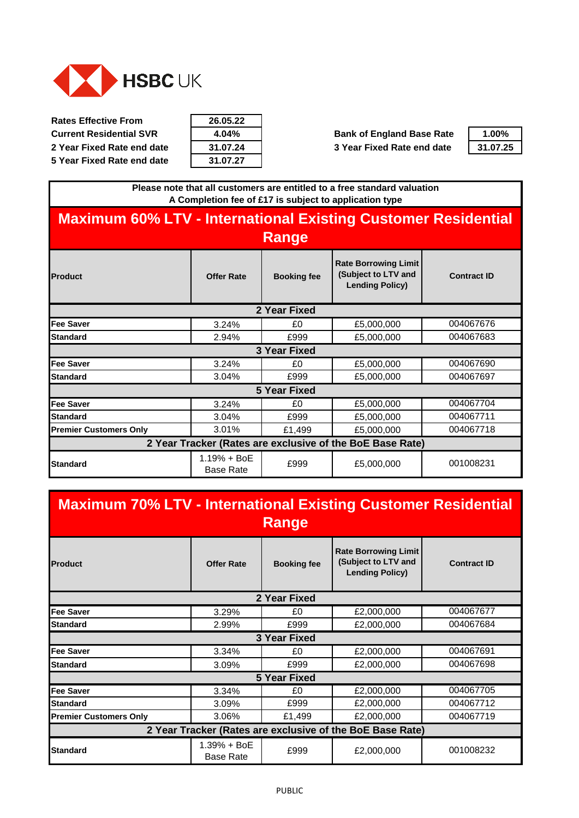<span id="page-20-0"></span>

| 26.05.22 |
|----------|
| 4.04%    |
| 31.07.24 |
| 31.07.27 |

**Current Residential SVR 4.04% Bank of England Base Rate 1.00% 2 Year Fixed Rate end date 31.07.24 3 Year Fixed Rate end date 31.07.25**



**Please note that all customers are entitled to a free standard valuation A Completion fee of £17 is subject to application type**

## **Maximum 60% LTV - International Existing Customer Residential Range**

|                               |                                   | <u>.</u>           |                                                                              |                    |
|-------------------------------|-----------------------------------|--------------------|------------------------------------------------------------------------------|--------------------|
| <b>Product</b>                | <b>Offer Rate</b>                 | <b>Booking fee</b> | <b>Rate Borrowing Limit</b><br>(Subject to LTV and<br><b>Lending Policy)</b> | <b>Contract ID</b> |
|                               |                                   | 2 Year Fixed       |                                                                              |                    |
| <b>Fee Saver</b>              | 3.24%                             | £0                 | £5,000,000                                                                   | 004067676          |
| <b>Standard</b>               | 2.94%                             | £999               | £5,000,000                                                                   | 004067683          |
|                               |                                   | 3 Year Fixed       |                                                                              |                    |
| <b>Fee Saver</b>              | 3.24%                             | £0                 | £5,000,000                                                                   | 004067690          |
| <b>Standard</b>               | 3.04%                             | £999               | £5,000,000                                                                   | 004067697          |
|                               |                                   | 5 Year Fixed       |                                                                              |                    |
| <b>Fee Saver</b>              | 3.24%                             | £0                 | £5,000,000                                                                   | 004067704          |
| <b>Standard</b>               | 3.04%                             | £999               | £5,000,000                                                                   | 004067711          |
| <b>Premier Customers Only</b> | 3.01%                             | £1,499             | £5,000,000                                                                   | 004067718          |
|                               |                                   |                    | 2 Year Tracker (Rates are exclusive of the BoE Base Rate)                    |                    |
| <b>Standard</b>               | $1.19% + BoE$<br><b>Base Rate</b> | £999               | £5,000,000                                                                   | 001008231          |

# **Maximum 70% LTV - International Existing Customer Residential Range**

| Product                       | <b>Offer Rate</b>               | <b>Booking fee</b>  | <b>Rate Borrowing Limit</b><br>(Subject to LTV and<br><b>Lending Policy)</b> | <b>Contract ID</b> |
|-------------------------------|---------------------------------|---------------------|------------------------------------------------------------------------------|--------------------|
|                               |                                 | 2 Year Fixed        |                                                                              |                    |
| <b>Fee Saver</b>              | 3.29%                           | £0                  | £2,000,000                                                                   | 004067677          |
| <b>Standard</b>               | 2.99%                           | £999                | £2,000,000                                                                   | 004067684          |
|                               |                                 | 3 Year Fixed        |                                                                              |                    |
| <b>Fee Saver</b>              | 3.34%                           | £0                  | £2,000,000                                                                   | 004067691          |
| <b>Standard</b>               | 3.09%                           | £999                | £2,000,000                                                                   | 004067698          |
|                               |                                 | <b>5 Year Fixed</b> |                                                                              |                    |
| <b>Fee Saver</b>              | 3.34%                           | £0                  | £2,000,000                                                                   | 004067705          |
| <b>Standard</b>               | 3.09%                           | £999                | £2,000,000                                                                   | 004067712          |
| <b>Premier Customers Only</b> | 3.06%                           | £1,499              | £2,000,000                                                                   | 004067719          |
|                               |                                 |                     | 2 Year Tracker (Rates are exclusive of the BoE Base Rate)                    |                    |
| <b>Standard</b>               | 1.39% + BoE<br><b>Base Rate</b> | £999                | £2,000,000                                                                   | 001008232          |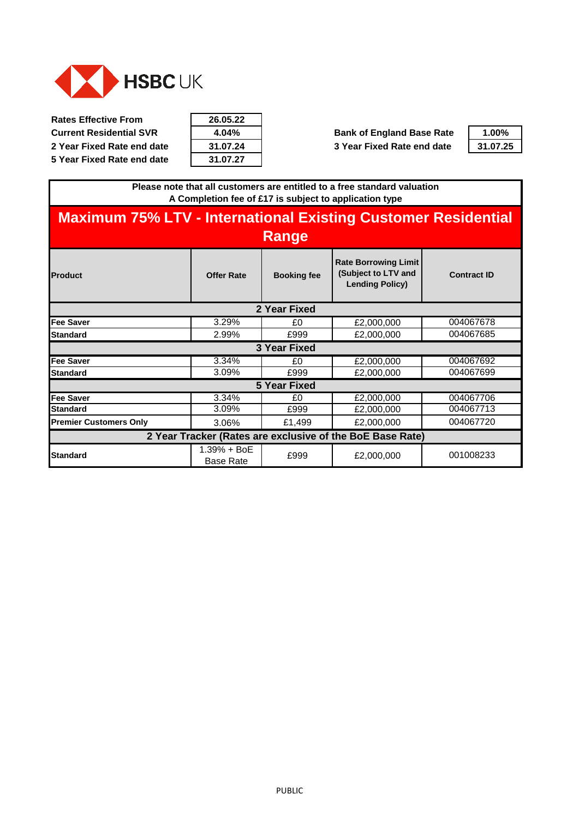

| 26.05.22 |
|----------|
| 4.04%    |
| 31.07.24 |
| 31.07.27 |

**Current Residential SVR 4.04% Bank of England Base Rate 1.00% 2 Year Fixed Rate end date 31.07.24 3 Year Fixed Rate end date 31.07.25**



**Please note that all customers are entitled to a free standard valuation A Completion fee of £17 is subject to application type**

#### **Product Offer Rate Booking fee Rate Borrowing Limit (Subject to LTV and Lending Policy) Fee Saver** 1 3.29% **EQUALLED** 1 3.29% **EQUALLED** 1  $\text{E2,000,000}$ **Standard 12.99% FOREF 2.99% E2,000,000 Fee Saver** 1 3.34% **EQUAL 2.000,000 Standard 12,000,000** 1 3.09% **E999** 1 £2,000,000 **Fee Saver** 1 3.34% **EQUAL EQUAL EQUAL EQUAL EQUAL EQUAL EQUAL EQUAL EQUAL EQUAL EQUAL EQUAL EQUAL EQUAL EQUAL EQUAL EQUAL EQUAL EQUAL EQUAL EQUAL EQUAL EQUAL EQUAL EQUAL EQUAL EQUAL EQUAL EQUAL EQUAL EQUAL EQUAL EQUAL EQU Standard 1 3.09% 1 2.000,000 Premier Customers Only**  $\begin{array}{ccc} 1 & 3.06\% & \epsilon \end{array}$  **£1,499**  $\begin{array}{ccc} 2,000,000 \end{array}$ **Standard** 1.39% + BoE Base Rate <br>Base Rate <br>E999 <br>E2,000,000 004067699 **Maximum 75% LTV - International Existing Customer Residential Range Contract ID 2 Year Fixed** 004067678 004067685 **3 Year Fixed** 004067692 **2 Year Tracker (Rates are exclusive of the BoE Base Rate)** 001008233 **5 Year Fixed** 004067706 004067713 004067720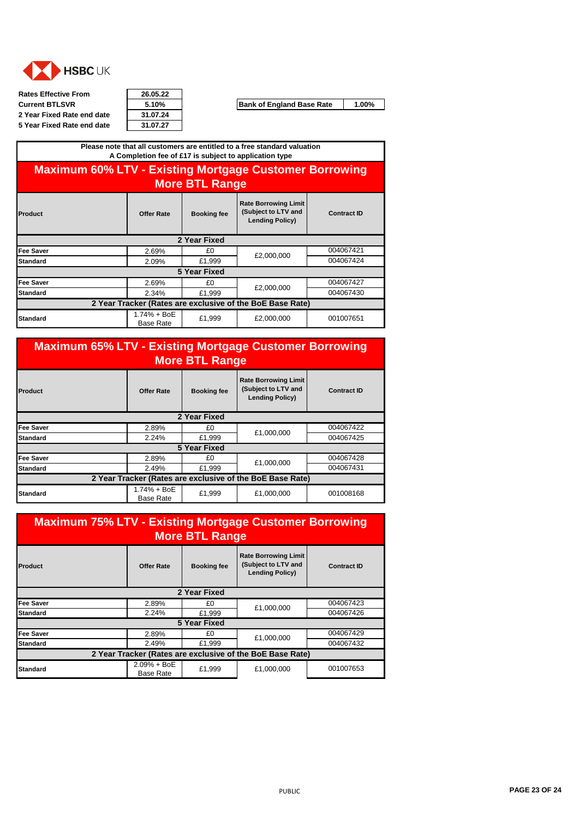<span id="page-22-0"></span>

| <b>Rates Effective From</b> | 26.05.22 |
|-----------------------------|----------|
| <b>Current BTLSVR</b>       | 5.10%    |
| 2 Year Fixed Rate end date  | 31.07.24 |
| 5 Year Fixed Rate end date  | 31.07.27 |

| 26.05.22 |
|----------|
| 5.10%    |
| 31.07.24 |
| 31.07.27 |

**Current Bank of England Base Rate** 1.00%

| Please note that all customers are entitled to a free standard valuation<br>A Completion fee of £17 is subject to application type                |              |              |            |           |  |  |
|---------------------------------------------------------------------------------------------------------------------------------------------------|--------------|--------------|------------|-----------|--|--|
| <b>Maximum 60% LTV - Existing Mortgage Customer Borrowing</b><br><b>More BTL Range</b>                                                            |              |              |            |           |  |  |
| <b>Rate Borrowing Limit</b><br>(Subject to LTV and<br><b>Contract ID</b><br>Offer Rate<br><b>Booking fee</b><br>Product<br><b>Lending Policy)</b> |              |              |            |           |  |  |
|                                                                                                                                                   |              | 2 Year Fixed |            |           |  |  |
| <b>Fee Saver</b>                                                                                                                                  | 2.69%        | £0           |            | 004067421 |  |  |
| Standard                                                                                                                                          | 2.09%        | £1,999       | £2,000,000 | 004067424 |  |  |
|                                                                                                                                                   | 5 Year Fixed |              |            |           |  |  |
| <b>Fee Saver</b>                                                                                                                                  | 2.69%        | £0.          | £2,000,000 | 004067427 |  |  |
| <b>Standard</b>                                                                                                                                   | 2.34%        | £1,999       |            | 004067430 |  |  |
| 2 Year Tracker (Rates are exclusive of the BoE Base Rate)                                                                                         |              |              |            |           |  |  |
| 1.74% + BoE<br>001007651<br>£1,999<br>£2,000,000<br><b>Standard</b><br><b>Base Rate</b>                                                           |              |              |            |           |  |  |

**Maximum 65% LTV - Existing Mortgage Customer Borrowing More BTL Range**

| Product                                                   | <b>Offer Rate</b>                 | <b>Booking fee</b> | <b>Rate Borrowing Limit</b><br>(Subject to LTV and<br><b>Lending Policy)</b> | <b>Contract ID</b> |  |
|-----------------------------------------------------------|-----------------------------------|--------------------|------------------------------------------------------------------------------|--------------------|--|
|                                                           |                                   | 2 Year Fixed       |                                                                              |                    |  |
| Fee Saver                                                 | 2.89%                             | £0                 | £1,000,000                                                                   | 004067422          |  |
| Standard                                                  | 2.24%                             | £1,999             |                                                                              | 004067425          |  |
| 5 Year Fixed                                              |                                   |                    |                                                                              |                    |  |
| <b>Fee Saver</b>                                          | 2.89%                             | £0                 | £1,000,000                                                                   | 004067428          |  |
| Standard                                                  | 2.49%                             | £1,999             |                                                                              | 004067431          |  |
| 2 Year Tracker (Rates are exclusive of the BoE Base Rate) |                                   |                    |                                                                              |                    |  |
| Standard                                                  | $1.74% + BoE$<br><b>Base Rate</b> | £1.999             | £1,000,000                                                                   | 001008168          |  |

| <b>Maximum 75% LTV - Existing Mortgage Customer Borrowing</b><br><b>More BTL Range</b> |                                   |                    |                                                                              |                    |  |
|----------------------------------------------------------------------------------------|-----------------------------------|--------------------|------------------------------------------------------------------------------|--------------------|--|
| <b>Product</b>                                                                         | <b>Offer Rate</b>                 | <b>Booking fee</b> | <b>Rate Borrowing Limit</b><br>(Subject to LTV and<br><b>Lending Policy)</b> | <b>Contract ID</b> |  |
|                                                                                        |                                   | 2 Year Fixed       |                                                                              |                    |  |
| <b>Fee Saver</b>                                                                       | 2.89%                             | £0                 | £1,000,000                                                                   | 004067423          |  |
| <b>Standard</b>                                                                        | 2.24%                             | £1.999             |                                                                              | 004067426          |  |
| 5 Year Fixed                                                                           |                                   |                    |                                                                              |                    |  |
| <b>Fee Saver</b>                                                                       | 2.89%                             | £0                 | £1,000,000                                                                   | 004067429          |  |
| <b>Standard</b>                                                                        | 2.49%                             | £1.999             |                                                                              | 004067432          |  |
| 2 Year Tracker (Rates are exclusive of the BoE Base Rate)                              |                                   |                    |                                                                              |                    |  |
| <b>Standard</b>                                                                        | $2.09% + BoE$<br><b>Base Rate</b> | £1,999             | £1,000,000                                                                   | 001007653          |  |